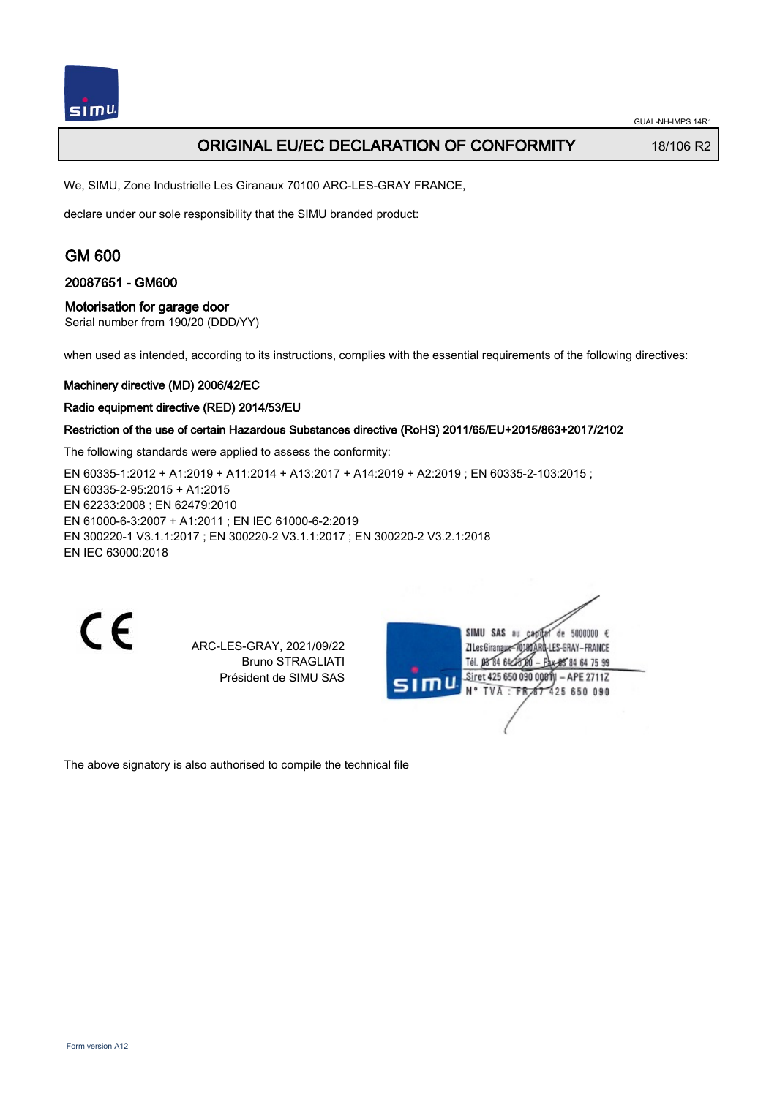## ORIGINAL EU/EC DECLARATION OF CONFORMITY 18/106 R2

We, SIMU, Zone Industrielle Les Giranaux 70100 ARC-LES-GRAY FRANCE,

declare under our sole responsibility that the SIMU branded product:

## GM 600

#### 20087651 - GM600

### Motorisation for garage door

Serial number from 190/20 (DDD/YY)

when used as intended, according to its instructions, complies with the essential requirements of the following directives:

#### Machinery directive (MD) 2006/42/EC

#### Radio equipment directive (RED) 2014/53/EU

#### Restriction of the use of certain Hazardous Substances directive (RoHS) 2011/65/EU+2015/863+2017/2102

The following standards were applied to assess the conformity:

EN 60335-1:2012 + A1:2019 + A11:2014 + A13:2017 + A14:2019 + A2:2019 ; EN 60335-2-103:2015 ; EN 60335‑2‑95:2015 + A1:2015 EN 62233:2008 ; EN 62479:2010 EN 61000‑6‑3:2007 + A1:2011 ; EN IEC 61000‑6‑2:2019 EN 300220‑1 V3.1.1:2017 ; EN 300220‑2 V3.1.1:2017 ; EN 300220‑2 V3.2.1:2018 EN IEC 63000:2018

| ī<br>٠ |
|--------|
| Y.     |
| t      |
|        |

ARC-LES-GRAY, 2021/09/22 Bruno STRAGLIATI Président de SIMU SAS

de 5000000  $\epsilon$ **ZILesGiranaux** ES-GRAY-FRANCE THE DR'TH 64/27 DO 85 84 64 75 99 Siret 425 650 090 00811 - APE 2711Z FR 67 425 650 090 N° TVA

The above signatory is also authorised to compile the technical file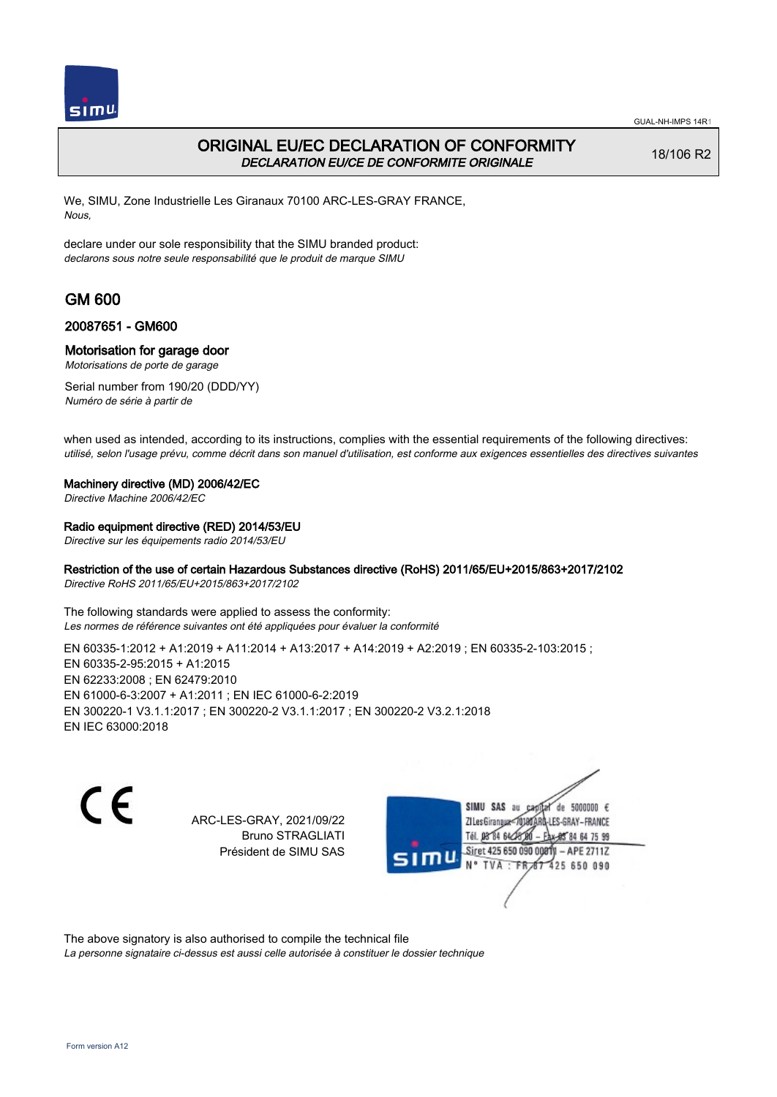

## ORIGINAL EU/EC DECLARATION OF CONFORMITY DECLARATION EU/CE DE CONFORMITE ORIGINALE

18/106 R2

We, SIMU, Zone Industrielle Les Giranaux 70100 ARC-LES-GRAY FRANCE, Nous,

declare under our sole responsibility that the SIMU branded product: declarons sous notre seule responsabilité que le produit de marque SIMU

# GM 600

### 20087651 - GM600

### Motorisation for garage door

Motorisations de porte de garage

Serial number from 190/20 (DDD/YY) Numéro de série à partir de

when used as intended, according to its instructions, complies with the essential requirements of the following directives: utilisé, selon l'usage prévu, comme décrit dans son manuel d'utilisation, est conforme aux exigences essentielles des directives suivantes

#### Machinery directive (MD) 2006/42/EC

Directive Machine 2006/42/EC

### Radio equipment directive (RED) 2014/53/EU

Directive sur les équipements radio 2014/53/EU

### Restriction of the use of certain Hazardous Substances directive (RoHS) 2011/65/EU+2015/863+2017/2102

Directive RoHS 2011/65/EU+2015/863+2017/2102

The following standards were applied to assess the conformity: Les normes de référence suivantes ont été appliquées pour évaluer la conformité

EN 60335-1:2012 + A1:2019 + A11:2014 + A13:2017 + A14:2019 + A2:2019 ; EN 60335-2-103:2015 ; EN 60335‑2‑95:2015 + A1:2015 EN 62233:2008 ; EN 62479:2010 EN 61000‑6‑3:2007 + A1:2011 ; EN IEC 61000‑6‑2:2019 EN 300220‑1 V3.1.1:2017 ; EN 300220‑2 V3.1.1:2017 ; EN 300220‑2 V3.2.1:2018 EN IEC 63000:2018

 $\epsilon$ 

ARC-LES-GRAY, 2021/09/22 Bruno STRAGLIATI Président de SIMU SAS



The above signatory is also authorised to compile the technical file

La personne signataire ci-dessus est aussi celle autorisée à constituer le dossier technique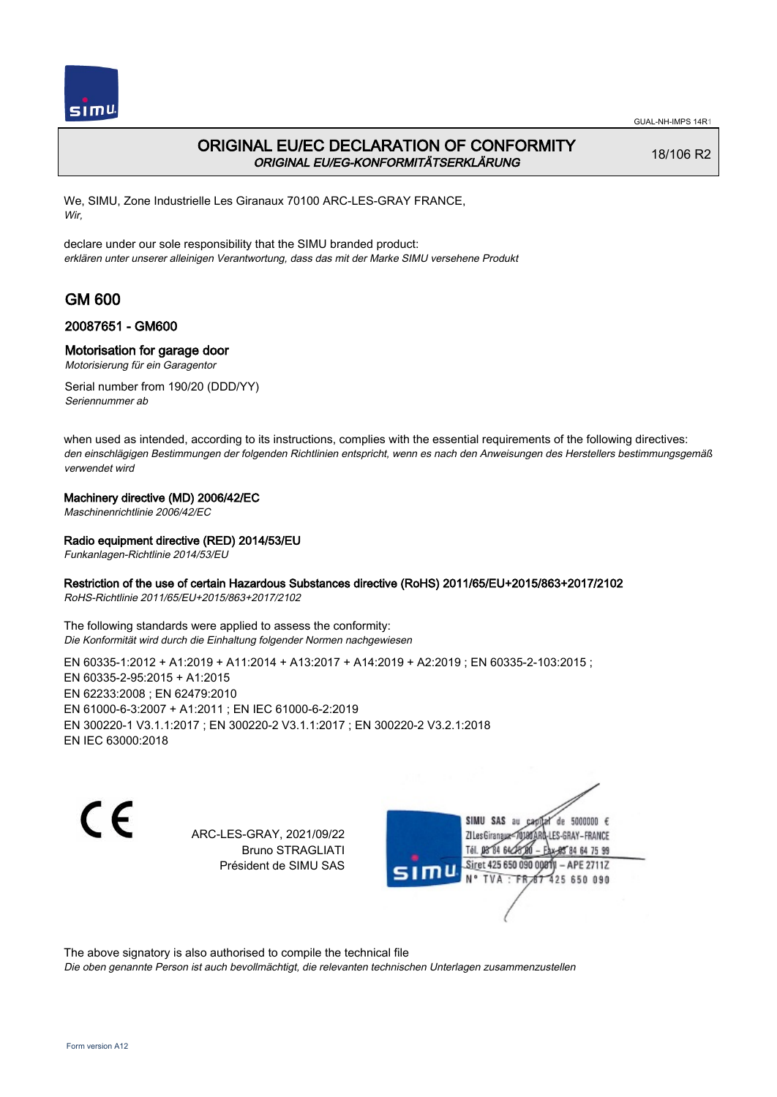

## ORIGINAL EU/EC DECLARATION OF CONFORMITY ORIGINAL EU/EG-KONFORMITÄTSERKLÄRUNG

18/106 R2

We, SIMU, Zone Industrielle Les Giranaux 70100 ARC-LES-GRAY FRANCE, Wir,

declare under our sole responsibility that the SIMU branded product: erklären unter unserer alleinigen Verantwortung, dass das mit der Marke SIMU versehene Produkt

# GM 600

### 20087651 - GM600

### Motorisation for garage door

Motorisierung für ein Garagentor

Serial number from 190/20 (DDD/YY) Seriennummer ab

when used as intended, according to its instructions, complies with the essential requirements of the following directives: den einschlägigen Bestimmungen der folgenden Richtlinien entspricht, wenn es nach den Anweisungen des Herstellers bestimmungsgemäß verwendet wird

### Machinery directive (MD) 2006/42/EC

Maschinenrichtlinie 2006/42/EC

### Radio equipment directive (RED) 2014/53/EU

Funkanlagen-Richtlinie 2014/53/EU

### Restriction of the use of certain Hazardous Substances directive (RoHS) 2011/65/EU+2015/863+2017/2102

RoHS-Richtlinie 2011/65/EU+2015/863+2017/2102

The following standards were applied to assess the conformity: Die Konformität wird durch die Einhaltung folgender Normen nachgewiesen

EN 60335-1:2012 + A1:2019 + A11:2014 + A13:2017 + A14:2019 + A2:2019 ; EN 60335-2-103:2015 ; EN 60335‑2‑95:2015 + A1:2015 EN 62233:2008 ; EN 62479:2010 EN 61000‑6‑3:2007 + A1:2011 ; EN IEC 61000‑6‑2:2019 EN 300220‑1 V3.1.1:2017 ; EN 300220‑2 V3.1.1:2017 ; EN 300220‑2 V3.2.1:2018 EN IEC 63000:2018

C E

ARC-LES-GRAY, 2021/09/22 Bruno STRAGLIATI Président de SIMU SAS

SIMU SAS au de 5000000  $\epsilon$ ZI Les Giranaux-7018 LES-GRAY-FRANCE Tél. 08 84 64 24 64 75 99 Siret 425 650 090 0001 - APE 2711Z **TVA:FR** 425 650 090

The above signatory is also authorised to compile the technical file

Die oben genannte Person ist auch bevollmächtigt, die relevanten technischen Unterlagen zusammenzustellen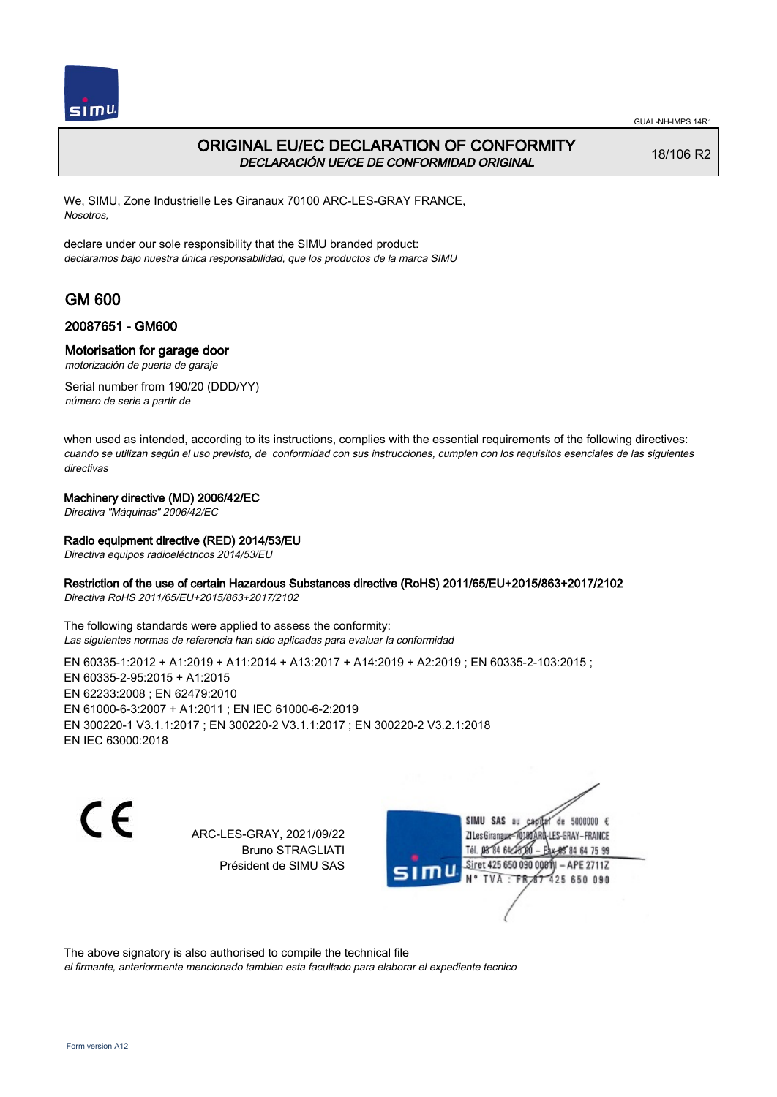

## ORIGINAL EU/EC DECLARATION OF CONFORMITY DECLARACIÓN UE/CE DE CONFORMIDAD ORIGINAL

18/106 R2

We, SIMU, Zone Industrielle Les Giranaux 70100 ARC-LES-GRAY FRANCE, Nosotros,

declare under our sole responsibility that the SIMU branded product: declaramos bajo nuestra única responsabilidad, que los productos de la marca SIMU

# GM 600

### 20087651 - GM600

### Motorisation for garage door

motorización de puerta de garaje

Serial number from 190/20 (DDD/YY) número de serie a partir de

when used as intended, according to its instructions, complies with the essential requirements of the following directives: cuando se utilizan según el uso previsto, de conformidad con sus instrucciones, cumplen con los requisitos esenciales de las siguientes directivas

### Machinery directive (MD) 2006/42/EC

Directiva "Máquinas" 2006/42/EC

### Radio equipment directive (RED) 2014/53/EU

Directiva equipos radioeléctricos 2014/53/EU

### Restriction of the use of certain Hazardous Substances directive (RoHS) 2011/65/EU+2015/863+2017/2102

Directiva RoHS 2011/65/EU+2015/863+2017/2102

The following standards were applied to assess the conformity: Las siguientes normas de referencia han sido aplicadas para evaluar la conformidad

EN 60335-1:2012 + A1:2019 + A11:2014 + A13:2017 + A14:2019 + A2:2019 ; EN 60335-2-103:2015 ; EN 60335‑2‑95:2015 + A1:2015 EN 62233:2008 ; EN 62479:2010 EN 61000‑6‑3:2007 + A1:2011 ; EN IEC 61000‑6‑2:2019 EN 300220‑1 V3.1.1:2017 ; EN 300220‑2 V3.1.1:2017 ; EN 300220‑2 V3.2.1:2018 EN IEC 63000:2018

C E

ARC-LES-GRAY, 2021/09/22 Bruno STRAGLIATI Président de SIMU SAS

SIMU SAS au de 5000000  $\epsilon$ ZI Les Giranaux-70180 LES-GRAY-FRANCE Tél. 08 84 64 24 64 75 99 Siret 425 650 090 0081) - APE 2711Z 425 650 090 TVA: FR

The above signatory is also authorised to compile the technical file

el firmante, anteriormente mencionado tambien esta facultado para elaborar el expediente tecnico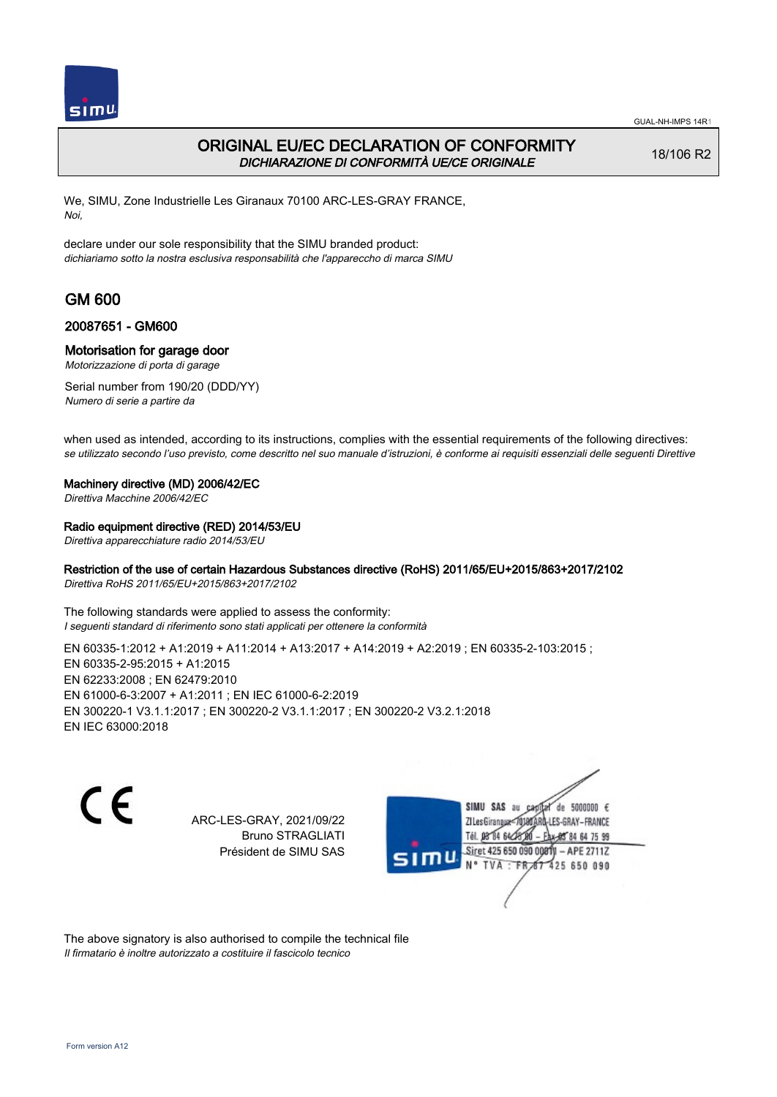

## ORIGINAL EU/EC DECLARATION OF CONFORMITY DICHIARAZIONE DI CONFORMITÀ UE/CE ORIGINALE

18/106 R2

We, SIMU, Zone Industrielle Les Giranaux 70100 ARC-LES-GRAY FRANCE, Noi,

declare under our sole responsibility that the SIMU branded product: dichiariamo sotto la nostra esclusiva responsabilità che l'appareccho di marca SIMU

# GM 600

### 20087651 - GM600

### Motorisation for garage door

Motorizzazione di porta di garage

Serial number from 190/20 (DDD/YY) Numero di serie a partire da

when used as intended, according to its instructions, complies with the essential requirements of the following directives: se utilizzato secondo l'uso previsto, come descritto nel suo manuale d'istruzioni, è conforme ai requisiti essenziali delle seguenti Direttive

#### Machinery directive (MD) 2006/42/EC

Direttiva Macchine 2006/42/EC

#### Radio equipment directive (RED) 2014/53/EU

Direttiva apparecchiature radio 2014/53/EU

### Restriction of the use of certain Hazardous Substances directive (RoHS) 2011/65/EU+2015/863+2017/2102

Direttiva RoHS 2011/65/EU+2015/863+2017/2102

The following standards were applied to assess the conformity: I seguenti standard di riferimento sono stati applicati per ottenere la conformità

EN 60335-1:2012 + A1:2019 + A11:2014 + A13:2017 + A14:2019 + A2:2019 ; EN 60335-2-103:2015 ; EN 60335‑2‑95:2015 + A1:2015 EN 62233:2008 ; EN 62479:2010 EN 61000‑6‑3:2007 + A1:2011 ; EN IEC 61000‑6‑2:2019 EN 300220‑1 V3.1.1:2017 ; EN 300220‑2 V3.1.1:2017 ; EN 300220‑2 V3.2.1:2018 EN IEC 63000:2018

 $\epsilon$ 

ARC-LES-GRAY, 2021/09/22 Bruno STRAGLIATI Président de SIMU SAS



The above signatory is also authorised to compile the technical file Il firmatario è inoltre autorizzato a costituire il fascicolo tecnico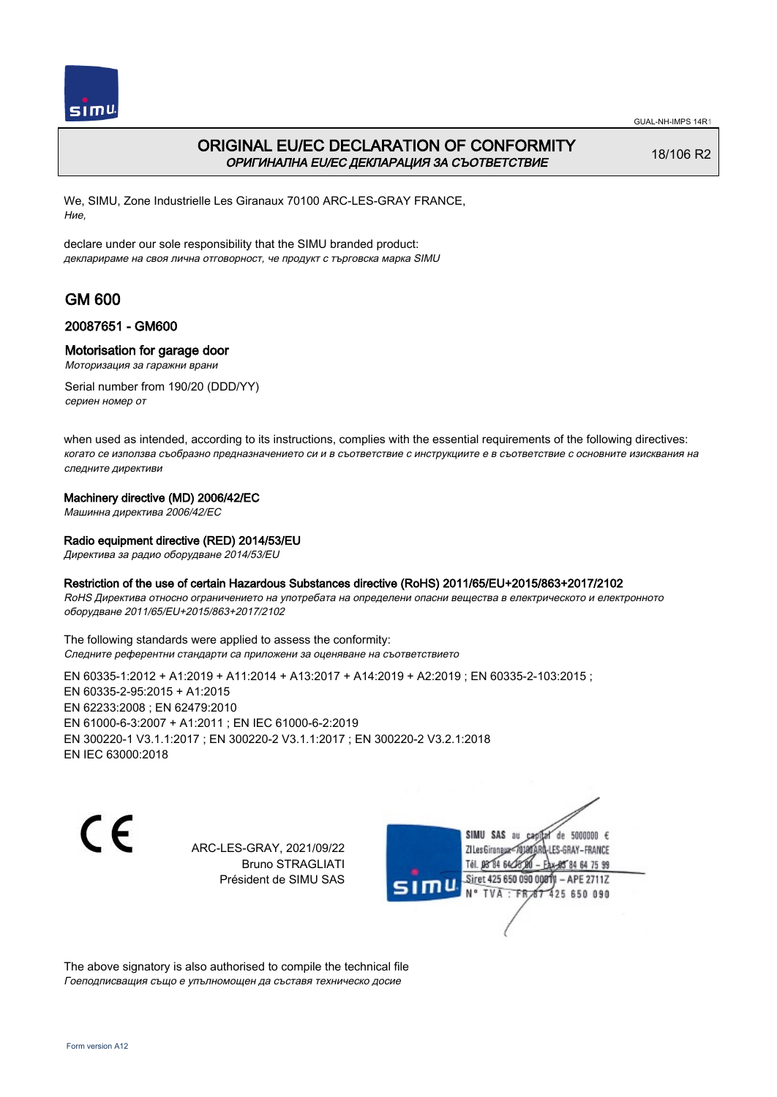

## ORIGINAL EU/EC DECLARATION OF CONFORMITY ОРИГИНАЛНА EU/EC ДЕКЛАРАЦИЯ ЗА СЪОТВЕТСТВИЕ

18/106 R2

We, SIMU, Zone Industrielle Les Giranaux 70100 ARC-LES-GRAY FRANCE, Ние,

declare under our sole responsibility that the SIMU branded product: декларираме на своя лична отговорност, че продукт с търговска марка SIMU

# GM 600

### 20087651 - GM600

### Motorisation for garage door

Моторизация за гаражни врани

Serial number from 190/20 (DDD/YY) сериен номер от

when used as intended, according to its instructions, complies with the essential requirements of the following directives: когато се използва съобразно предназначението си и в съответствие с инструкциите е в съответствие с основните изисквания на следните директиви

### Machinery directive (MD) 2006/42/EC

Машинна директива 2006/42/EC

### Radio equipment directive (RED) 2014/53/EU

Директива за радио оборудване 2014/53/EU

### Restriction of the use of certain Hazardous Substances directive (RoHS) 2011/65/EU+2015/863+2017/2102

RoHS Директива относно ограничението на употребата на определени опасни вещества в електрическото и електронното оборудване 2011/65/EU+2015/863+2017/2102

The following standards were applied to assess the conformity: Следните референтни стандарти са приложени за оценяване на съответствието

EN 60335‑1:2012 + A1:2019 + A11:2014 + A13:2017 + A14:2019 + A2:2019 ; EN 60335‑2‑103:2015 ; EN 60335‑2‑95:2015 + A1:2015 EN 62233:2008 ; EN 62479:2010 EN 61000‑6‑3:2007 + A1:2011 ; EN IEC 61000‑6‑2:2019 EN 300220‑1 V3.1.1:2017 ; EN 300220‑2 V3.1.1:2017 ; EN 300220‑2 V3.2.1:2018 EN IEC 63000:2018

C E

ARC-LES-GRAY, 2021/09/22 Bruno STRAGLIATI Président de SIMU SAS



The above signatory is also authorised to compile the technical file Гоеподписващия също е упълномощен да съставя техническо досие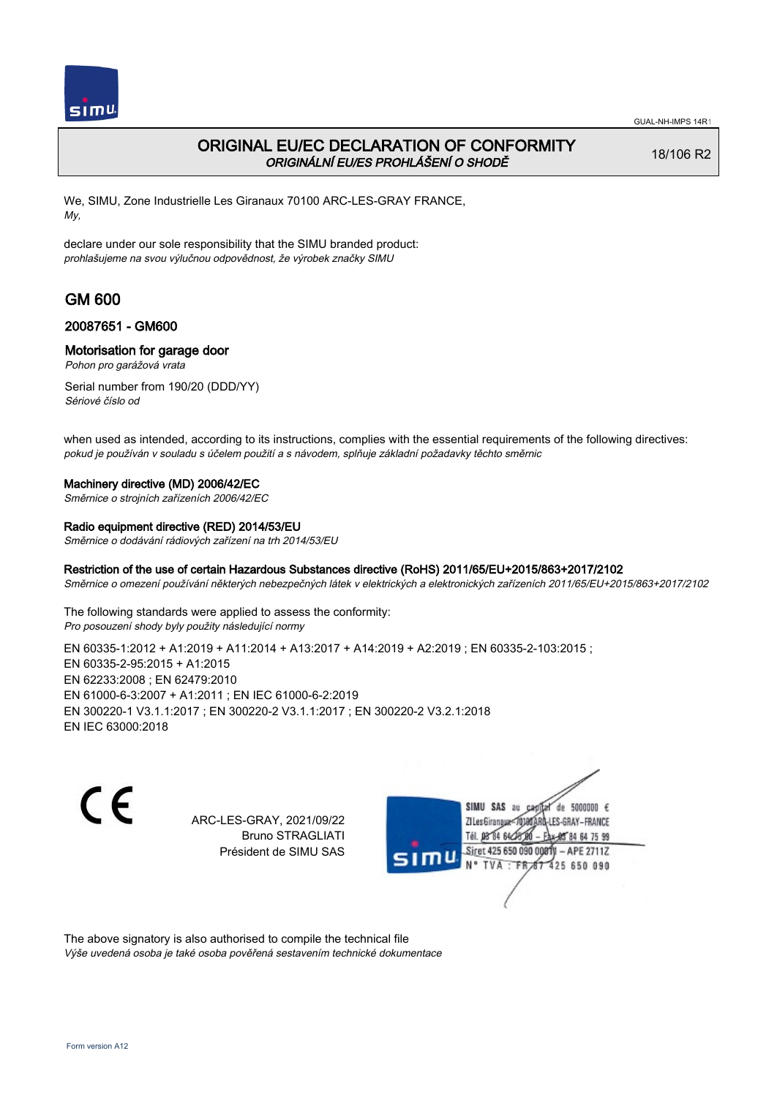

## ORIGINAL EU/EC DECLARATION OF CONFORMITY ORIGINÁLNÍ EU/ES PROHLÁŠENÍ O SHODĚ

18/106 R2

We, SIMU, Zone Industrielle Les Giranaux 70100 ARC-LES-GRAY FRANCE, My,

declare under our sole responsibility that the SIMU branded product: prohlašujeme na svou výlučnou odpovědnost, že výrobek značky SIMU

# GM 600

### 20087651 - GM600

### Motorisation for garage door

Pohon pro garážová vrata

Serial number from 190/20 (DDD/YY) Sériové číslo od

when used as intended, according to its instructions, complies with the essential requirements of the following directives: pokud je používán v souladu s účelem použití a s návodem, splňuje základní požadavky těchto směrnic

### Machinery directive (MD) 2006/42/EC

Směrnice o strojních zařízeních 2006/42/EC

#### Radio equipment directive (RED) 2014/53/EU

Směrnice o dodávání rádiových zařízení na trh 2014/53/EU

### Restriction of the use of certain Hazardous Substances directive (RoHS) 2011/65/EU+2015/863+2017/2102

Směrnice o omezení používání některých nebezpečných látek v elektrických a elektronických zařízeních 2011/65/EU+2015/863+2017/2102

The following standards were applied to assess the conformity: Pro posouzení shody byly použity následující normy

EN 60335-1:2012 + A1:2019 + A11:2014 + A13:2017 + A14:2019 + A2:2019 ; EN 60335-2-103:2015 ; EN 60335‑2‑95:2015 + A1:2015 EN 62233:2008 ; EN 62479:2010 EN 61000‑6‑3:2007 + A1:2011 ; EN IEC 61000‑6‑2:2019 EN 300220‑1 V3.1.1:2017 ; EN 300220‑2 V3.1.1:2017 ; EN 300220‑2 V3.2.1:2018 EN IEC 63000:2018

C E

ARC-LES-GRAY, 2021/09/22 Bruno STRAGLIATI Président de SIMU SAS



The above signatory is also authorised to compile the technical file Výše uvedená osoba je také osoba pověřená sestavením technické dokumentace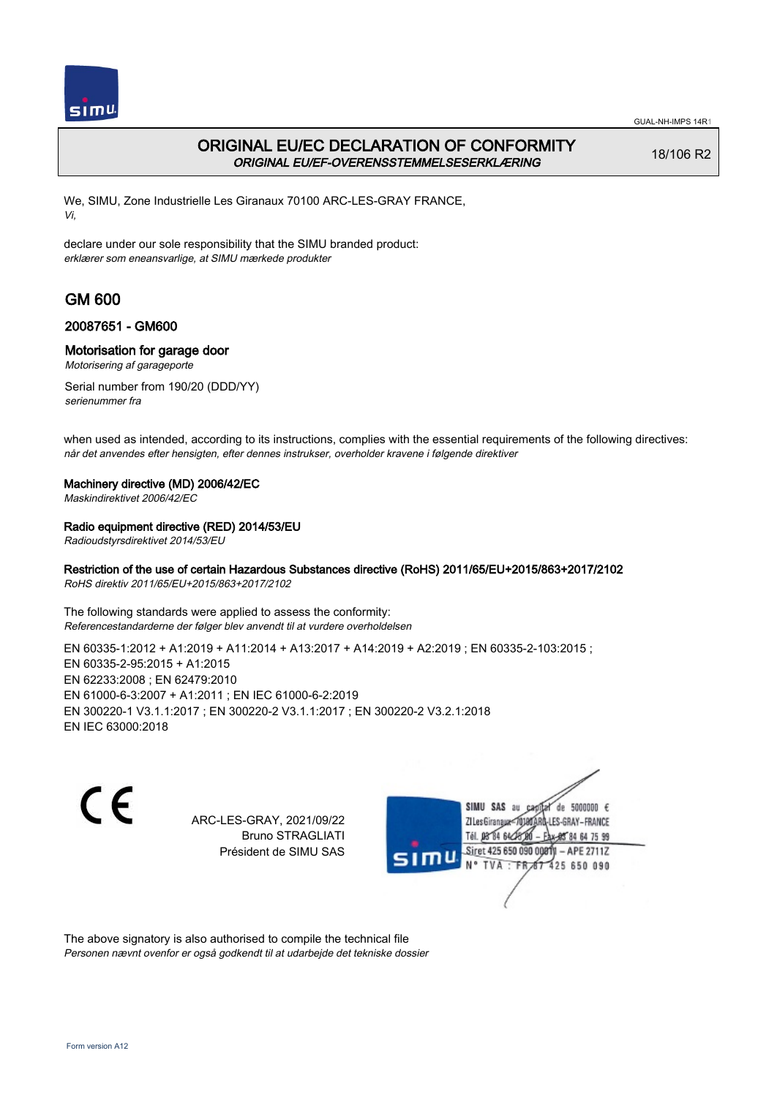

## ORIGINAL EU/EC DECLARATION OF CONFORMITY ORIGINAL EU/EF-OVERENSSTEMMELSESERKLÆRING

18/106 R2

We, SIMU, Zone Industrielle Les Giranaux 70100 ARC-LES-GRAY FRANCE, Vi,

declare under our sole responsibility that the SIMU branded product: erklærer som eneansvarlige, at SIMU mærkede produkter

# GM 600

### 20087651 - GM600

### Motorisation for garage door

Motorisering af garageporte

Serial number from 190/20 (DDD/YY) serienummer fra

when used as intended, according to its instructions, complies with the essential requirements of the following directives: når det anvendes efter hensigten, efter dennes instrukser, overholder kravene i følgende direktiver

### Machinery directive (MD) 2006/42/EC

Maskindirektivet 2006/42/EC

### Radio equipment directive (RED) 2014/53/EU

Radioudstyrsdirektivet 2014/53/EU

### Restriction of the use of certain Hazardous Substances directive (RoHS) 2011/65/EU+2015/863+2017/2102

RoHS direktiv 2011/65/EU+2015/863+2017/2102

The following standards were applied to assess the conformity: Referencestandarderne der følger blev anvendt til at vurdere overholdelsen

EN 60335-1:2012 + A1:2019 + A11:2014 + A13:2017 + A14:2019 + A2:2019 ; EN 60335-2-103:2015 ; EN 60335‑2‑95:2015 + A1:2015 EN 62233:2008 ; EN 62479:2010 EN 61000‑6‑3:2007 + A1:2011 ; EN IEC 61000‑6‑2:2019 EN 300220‑1 V3.1.1:2017 ; EN 300220‑2 V3.1.1:2017 ; EN 300220‑2 V3.2.1:2018 EN IEC 63000:2018

 $\epsilon$ 

ARC-LES-GRAY, 2021/09/22 Bruno STRAGLIATI Président de SIMU SAS



The above signatory is also authorised to compile the technical file Personen nævnt ovenfor er også godkendt til at udarbejde det tekniske dossier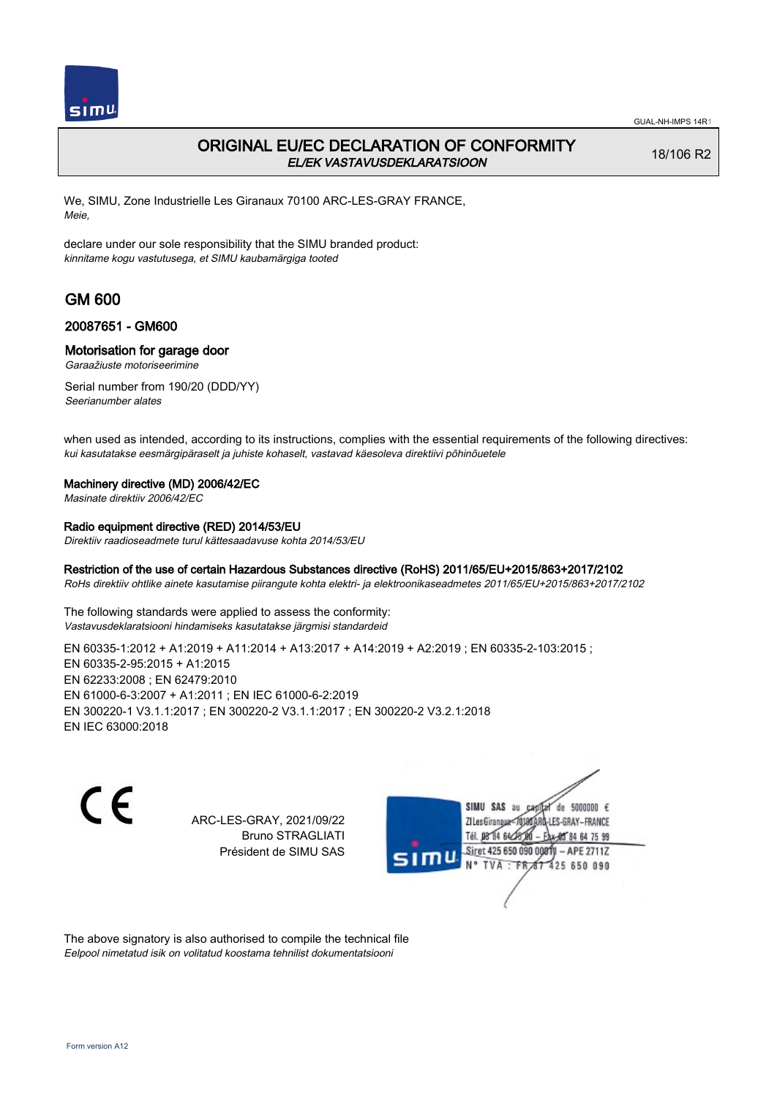

## ORIGINAL EU/EC DECLARATION OF CONFORMITY EL/EK VASTAVUSDEKLARATSIOON

18/106 R2

We, SIMU, Zone Industrielle Les Giranaux 70100 ARC-LES-GRAY FRANCE, Meie,

declare under our sole responsibility that the SIMU branded product: kinnitame kogu vastutusega, et SIMU kaubamärgiga tooted

# GM 600

### 20087651 - GM600

### Motorisation for garage door

Garaažiuste motoriseerimine

Serial number from 190/20 (DDD/YY) Seerianumber alates

when used as intended, according to its instructions, complies with the essential requirements of the following directives: kui kasutatakse eesmärgipäraselt ja juhiste kohaselt, vastavad käesoleva direktiivi põhinõuetele

### Machinery directive (MD) 2006/42/EC

Masinate direktiiv 2006/42/EC

### Radio equipment directive (RED) 2014/53/EU

Direktiiv raadioseadmete turul kättesaadavuse kohta 2014/53/EU

### Restriction of the use of certain Hazardous Substances directive (RoHS) 2011/65/EU+2015/863+2017/2102

RoHs direktiiv ohtlike ainete kasutamise piirangute kohta elektri- ja elektroonikaseadmetes 2011/65/EU+2015/863+2017/2102

The following standards were applied to assess the conformity: Vastavusdeklaratsiooni hindamiseks kasutatakse järgmisi standardeid

EN 60335-1:2012 + A1:2019 + A11:2014 + A13:2017 + A14:2019 + A2:2019 ; EN 60335-2-103:2015 ; EN 60335‑2‑95:2015 + A1:2015 EN 62233:2008 ; EN 62479:2010 EN 61000‑6‑3:2007 + A1:2011 ; EN IEC 61000‑6‑2:2019 EN 300220‑1 V3.1.1:2017 ; EN 300220‑2 V3.1.1:2017 ; EN 300220‑2 V3.2.1:2018 EN IEC 63000:2018

C E

ARC-LES-GRAY, 2021/09/22 Bruno STRAGLIATI Président de SIMU SAS



The above signatory is also authorised to compile the technical file Eelpool nimetatud isik on volitatud koostama tehnilist dokumentatsiooni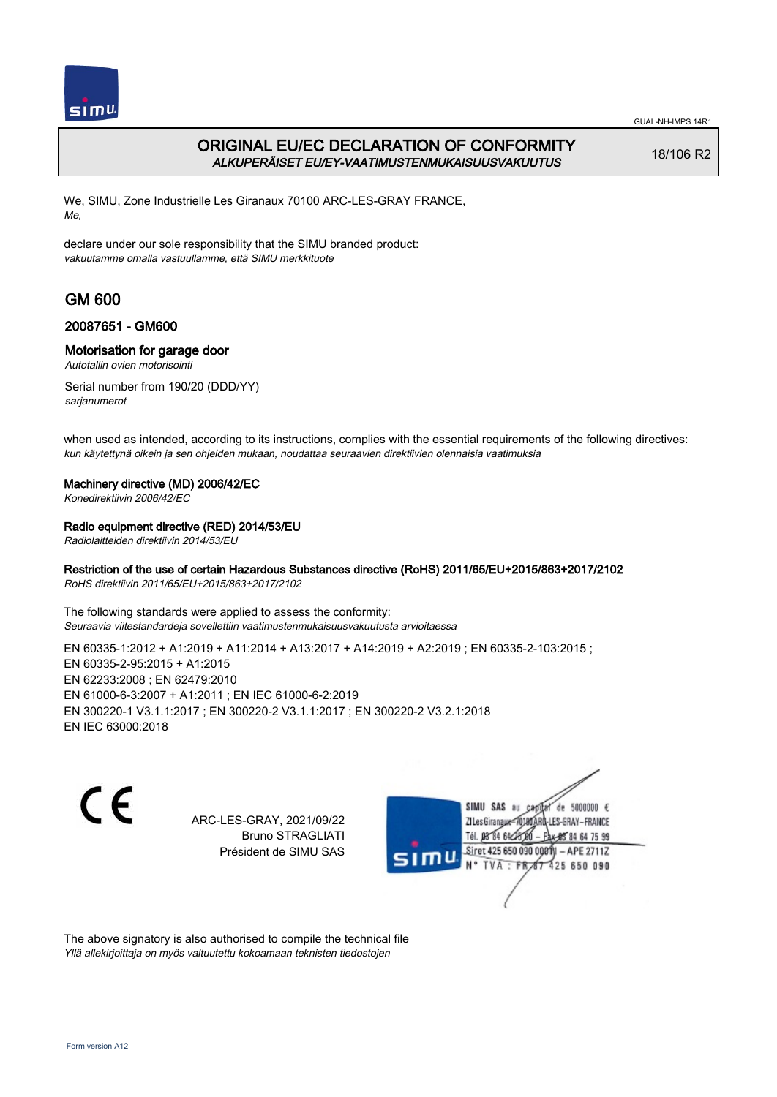

## ORIGINAL EU/EC DECLARATION OF CONFORMITY ALKUPERÄISET EU/EY-VAATIMUSTENMUKAISUUSVAKUUTUS

18/106 R2

We, SIMU, Zone Industrielle Les Giranaux 70100 ARC-LES-GRAY FRANCE, Me,

declare under our sole responsibility that the SIMU branded product: vakuutamme omalla vastuullamme, että SIMU merkkituote

# GM 600

### 20087651 - GM600

### Motorisation for garage door

Autotallin ovien motorisointi

Serial number from 190/20 (DDD/YY) sarjanumerot

when used as intended, according to its instructions, complies with the essential requirements of the following directives: kun käytettynä oikein ja sen ohjeiden mukaan, noudattaa seuraavien direktiivien olennaisia vaatimuksia

### Machinery directive (MD) 2006/42/EC

Konedirektiivin 2006/42/EC

### Radio equipment directive (RED) 2014/53/EU

Radiolaitteiden direktiivin 2014/53/EU

### Restriction of the use of certain Hazardous Substances directive (RoHS) 2011/65/EU+2015/863+2017/2102

RoHS direktiivin 2011/65/EU+2015/863+2017/2102

The following standards were applied to assess the conformity: Seuraavia viitestandardeja sovellettiin vaatimustenmukaisuusvakuutusta arvioitaessa

EN 60335-1:2012 + A1:2019 + A11:2014 + A13:2017 + A14:2019 + A2:2019 ; EN 60335-2-103:2015 ; EN 60335‑2‑95:2015 + A1:2015 EN 62233:2008 ; EN 62479:2010 EN 61000‑6‑3:2007 + A1:2011 ; EN IEC 61000‑6‑2:2019 EN 300220‑1 V3.1.1:2017 ; EN 300220‑2 V3.1.1:2017 ; EN 300220‑2 V3.2.1:2018 EN IEC 63000:2018

 $\epsilon$ 

ARC-LES-GRAY, 2021/09/22 Bruno STRAGLIATI Président de SIMU SAS



The above signatory is also authorised to compile the technical file Yllä allekirjoittaja on myös valtuutettu kokoamaan teknisten tiedostojen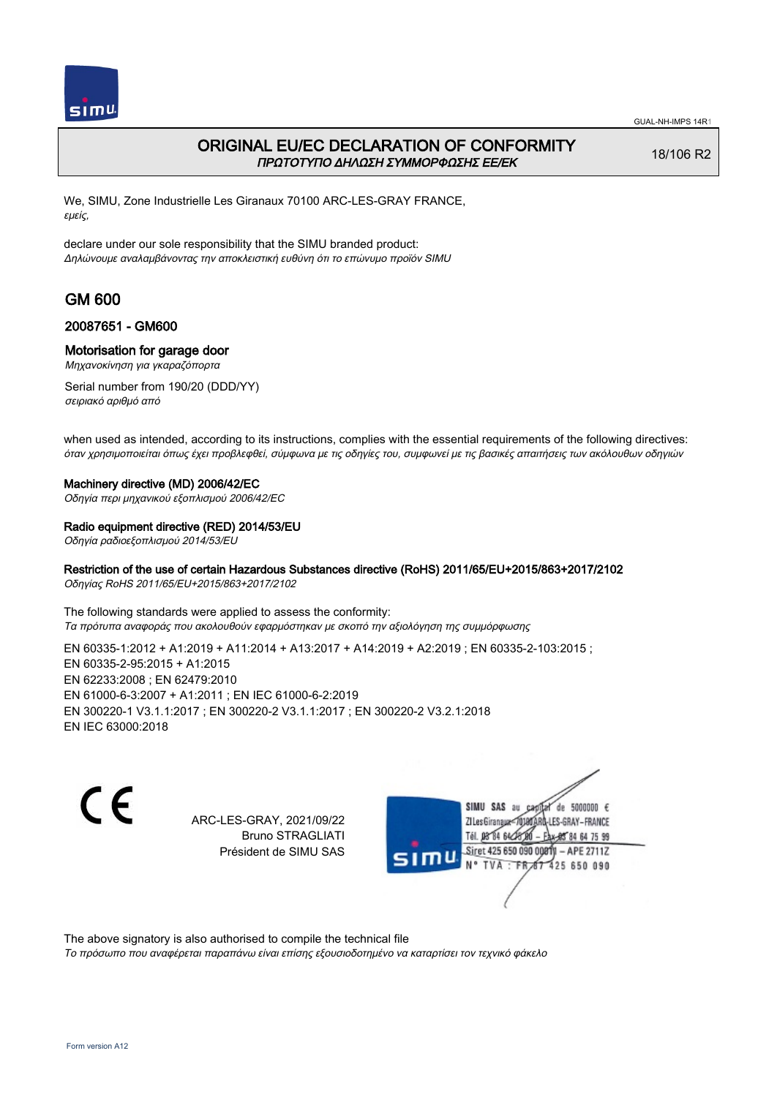

## ORIGINAL EU/EC DECLARATION OF CONFORMITY ΠΡΩΤΟΤΥΠΟ ΔΗΛΩΣΗ ΣΥΜΜΟΡΦΩΣΗΣ ΕΕ/EK

18/106 R2

We, SIMU, Zone Industrielle Les Giranaux 70100 ARC-LES-GRAY FRANCE, εμείς,

declare under our sole responsibility that the SIMU branded product: Δηλώνουμε αναλαμβάνοντας την αποκλειστική ευθύνη ότι το επώνυμο προϊόν SIMU

## GM 600

### 20087651 - GM600

### Motorisation for garage door

Μηχανοκίνηση για γκαραζόπορτα

Serial number from 190/20 (DDD/YY) σειριακό αριθμό από

when used as intended, according to its instructions, complies with the essential requirements of the following directives: όταν χρησιμοποιείται όπως έχει προβλεφθεί, σύμφωνα με τις οδηγίες του, συμφωνεί με τις βασικές απαιτήσεις των ακόλουθων οδηγιών

#### Machinery directive (MD) 2006/42/EC

Οδηγία περι μηχανικού εξοπλισμού 2006/42/EC

#### Radio equipment directive (RED) 2014/53/EU

Οδηγία ραδιοεξοπλισμού 2014/53/EU

### Restriction of the use of certain Hazardous Substances directive (RoHS) 2011/65/EU+2015/863+2017/2102

Οδηγίας RoHS 2011/65/EU+2015/863+2017/2102

The following standards were applied to assess the conformity: Τα πρότυπα αναφοράς που ακολουθούν εφαρμόστηκαν με σκοπό την αξιολόγηση της συμμόρφωσης

EN 60335-1:2012 + A1:2019 + A11:2014 + A13:2017 + A14:2019 + A2:2019 ; EN 60335-2-103:2015 ; EN 60335‑2‑95:2015 + A1:2015 EN 62233:2008 ; EN 62479:2010 EN 61000‑6‑3:2007 + A1:2011 ; EN IEC 61000‑6‑2:2019 EN 300220‑1 V3.1.1:2017 ; EN 300220‑2 V3.1.1:2017 ; EN 300220‑2 V3.2.1:2018 EN IEC 63000:2018

C E

ARC-LES-GRAY, 2021/09/22 Bruno STRAGLIATI Président de SIMU SAS

SIMU SAS au de 5000000  $\epsilon$ ZI Les Giranaux</r0180 LES-GRAY-FRANCE Tél. 08 84 64 28 00 84 64 75 99 Siret 425 650 090 00811 - APE 2711Z TVA: FR 67 425 650 090

The above signatory is also authorised to compile the technical file

Το πρόσωπο που αναφέρεται παραπάνω είναι επίσης εξουσιοδοτημένο να καταρτίσει τον τεχνικό φάκελο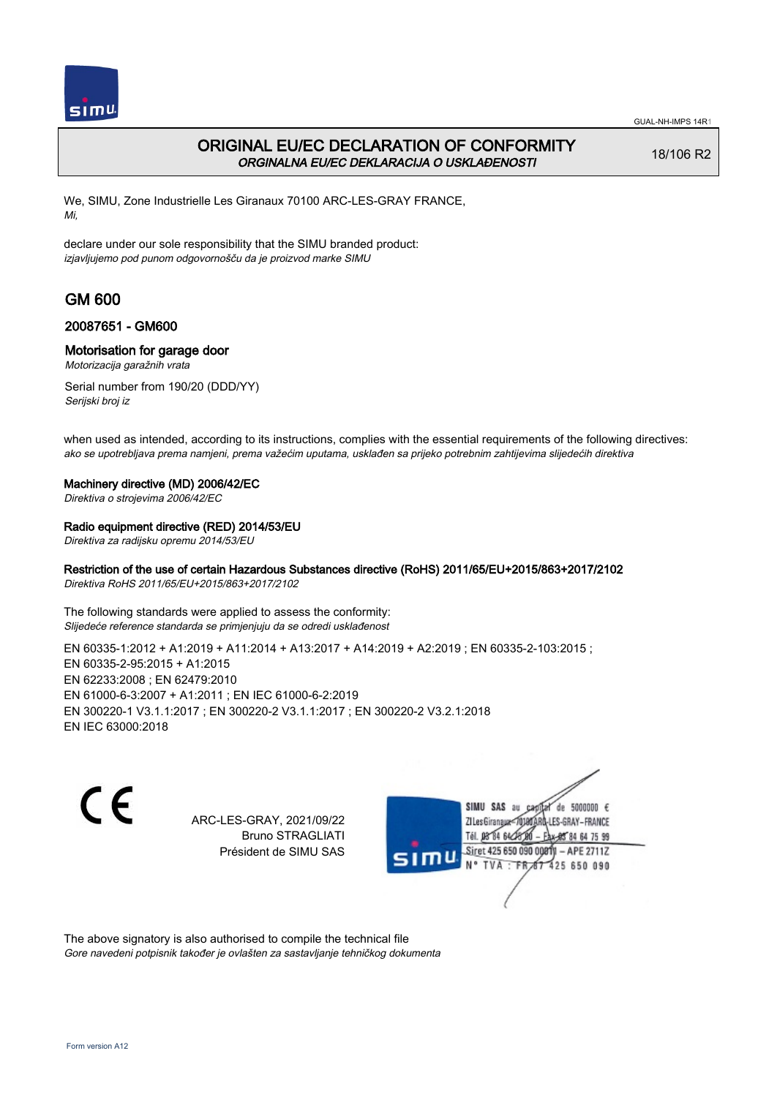

## ORIGINAL EU/EC DECLARATION OF CONFORMITY ORGINALNA EU/EC DEKLARACIJA O USKLAĐENOSTI

18/106 R2

We, SIMU, Zone Industrielle Les Giranaux 70100 ARC-LES-GRAY FRANCE, Mi,

declare under our sole responsibility that the SIMU branded product: izjavljujemo pod punom odgovornošču da je proizvod marke SIMU

# GM 600

### 20087651 - GM600

### Motorisation for garage door

Motorizacija garažnih vrata

Serial number from 190/20 (DDD/YY) Serijski broj iz

when used as intended, according to its instructions, complies with the essential requirements of the following directives: ako se upotrebljava prema namjeni, prema važećim uputama, usklađen sa prijeko potrebnim zahtijevima slijedećih direktiva

#### Machinery directive (MD) 2006/42/EC

Direktiva o strojevima 2006/42/EC

### Radio equipment directive (RED) 2014/53/EU

Direktiva za radijsku opremu 2014/53/EU

### Restriction of the use of certain Hazardous Substances directive (RoHS) 2011/65/EU+2015/863+2017/2102

Direktiva RoHS 2011/65/EU+2015/863+2017/2102

The following standards were applied to assess the conformity: Slijedeće reference standarda se primjenjuju da se odredi usklađenost

EN 60335-1:2012 + A1:2019 + A11:2014 + A13:2017 + A14:2019 + A2:2019 ; EN 60335-2-103:2015 ; EN 60335‑2‑95:2015 + A1:2015 EN 62233:2008 ; EN 62479:2010 EN 61000‑6‑3:2007 + A1:2011 ; EN IEC 61000‑6‑2:2019 EN 300220‑1 V3.1.1:2017 ; EN 300220‑2 V3.1.1:2017 ; EN 300220‑2 V3.2.1:2018 EN IEC 63000:2018

 $\epsilon$ 

ARC-LES-GRAY, 2021/09/22 Bruno STRAGLIATI Président de SIMU SAS



The above signatory is also authorised to compile the technical file Gore navedeni potpisnik također je ovlašten za sastavljanje tehničkog dokumenta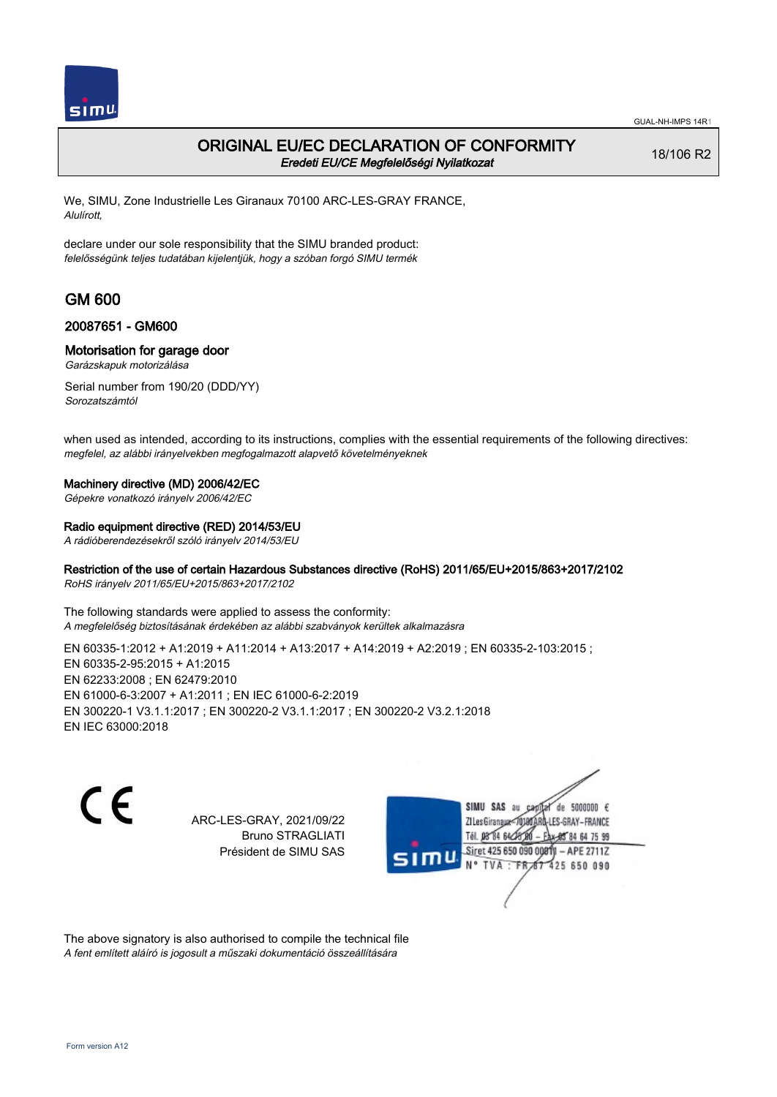

### ORIGINAL EU/EC DECLARATION OF CONFORMITY Eredeti EU/CE Megfelelőségi Nyilatkozat

18/106 R2

We, SIMU, Zone Industrielle Les Giranaux 70100 ARC-LES-GRAY FRANCE, Alulírott,

declare under our sole responsibility that the SIMU branded product: felelősségünk teljes tudatában kijelentjük, hogy a szóban forgó SIMU termék

## GM 600

### 20087651 - GM600

### Motorisation for garage door

Garázskapuk motorizálása

Serial number from 190/20 (DDD/YY) Sorozatszámtól

when used as intended, according to its instructions, complies with the essential requirements of the following directives: megfelel, az alábbi irányelvekben megfogalmazott alapvető követelményeknek

#### Machinery directive (MD) 2006/42/EC

Gépekre vonatkozó irányelv 2006/42/EC

#### Radio equipment directive (RED) 2014/53/EU

A rádióberendezésekről szóló irányelv 2014/53/EU

### Restriction of the use of certain Hazardous Substances directive (RoHS) 2011/65/EU+2015/863+2017/2102

RoHS irányelv 2011/65/EU+2015/863+2017/2102

The following standards were applied to assess the conformity: A megfelelőség biztosításának érdekében az alábbi szabványok kerültek alkalmazásra

EN 60335‑1:2012 + A1:2019 + A11:2014 + A13:2017 + A14:2019 + A2:2019 ; EN 60335‑2‑103:2015 ; EN 60335‑2‑95:2015 + A1:2015 EN 62233:2008 ; EN 62479:2010 EN 61000‑6‑3:2007 + A1:2011 ; EN IEC 61000‑6‑2:2019 EN 300220‑1 V3.1.1:2017 ; EN 300220‑2 V3.1.1:2017 ; EN 300220‑2 V3.2.1:2018 EN IEC 63000:2018

C E

ARC-LES-GRAY, 2021/09/22 Bruno STRAGLIATI Président de SIMU SAS



The above signatory is also authorised to compile the technical file A fent említett aláíró is jogosult a műszaki dokumentáció összeállítására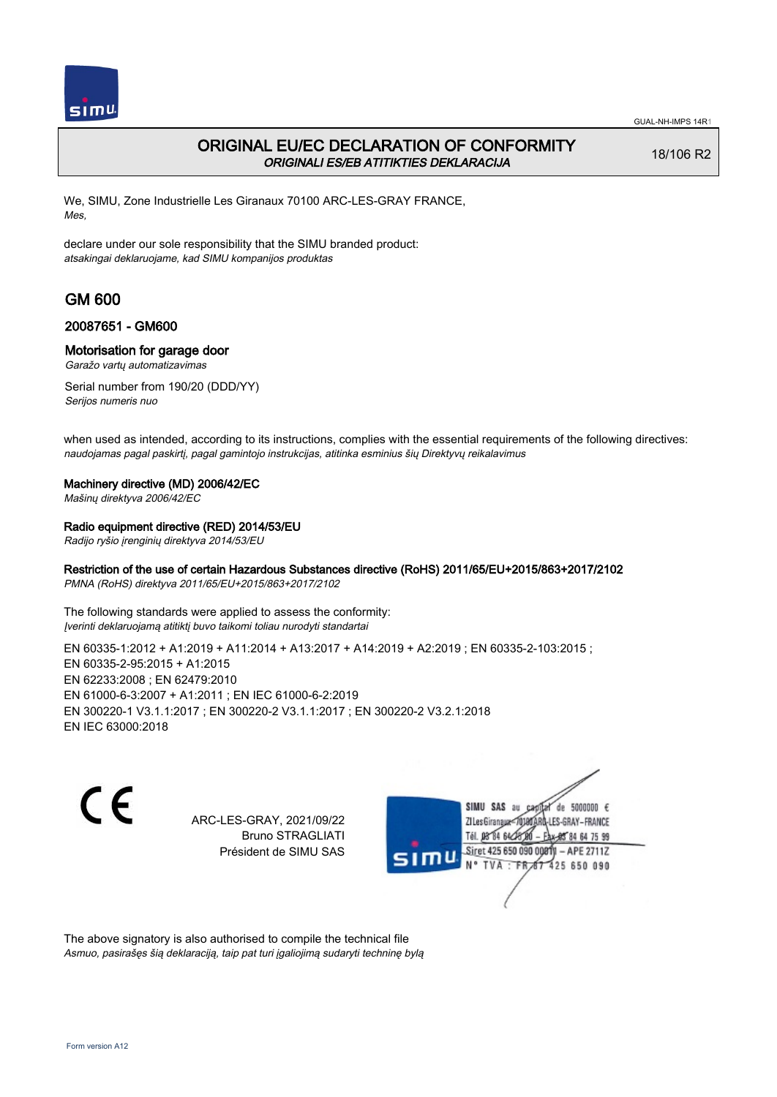

## ORIGINAL EU/EC DECLARATION OF CONFORMITY ORIGINALI ES/EB ATITIKTIES DEKLARACIJA

18/106 R2

We, SIMU, Zone Industrielle Les Giranaux 70100 ARC-LES-GRAY FRANCE, Mes,

declare under our sole responsibility that the SIMU branded product: atsakingai deklaruojame, kad SIMU kompanijos produktas

# GM 600

### 20087651 - GM600

### Motorisation for garage door

Garažo vartų automatizavimas

Serial number from 190/20 (DDD/YY) Serijos numeris nuo

when used as intended, according to its instructions, complies with the essential requirements of the following directives: naudojamas pagal paskirtį, pagal gamintojo instrukcijas, atitinka esminius šių Direktyvų reikalavimus

### Machinery directive (MD) 2006/42/EC

Mašinų direktyva 2006/42/EC

### Radio equipment directive (RED) 2014/53/EU

Radijo ryšio įrenginių direktyva 2014/53/EU

### Restriction of the use of certain Hazardous Substances directive (RoHS) 2011/65/EU+2015/863+2017/2102

PMNA (RoHS) direktyva 2011/65/EU+2015/863+2017/2102

The following standards were applied to assess the conformity: Įverinti deklaruojamą atitiktį buvo taikomi toliau nurodyti standartai

EN 60335-1:2012 + A1:2019 + A11:2014 + A13:2017 + A14:2019 + A2:2019 ; EN 60335-2-103:2015 ; EN 60335‑2‑95:2015 + A1:2015 EN 62233:2008 ; EN 62479:2010 EN 61000‑6‑3:2007 + A1:2011 ; EN IEC 61000‑6‑2:2019 EN 300220‑1 V3.1.1:2017 ; EN 300220‑2 V3.1.1:2017 ; EN 300220‑2 V3.2.1:2018 EN IEC 63000:2018

C E

ARC-LES-GRAY, 2021/09/22 Bruno STRAGLIATI Président de SIMU SAS



The above signatory is also authorised to compile the technical file Asmuo, pasirašęs šią deklaraciją, taip pat turi įgaliojimą sudaryti techninę bylą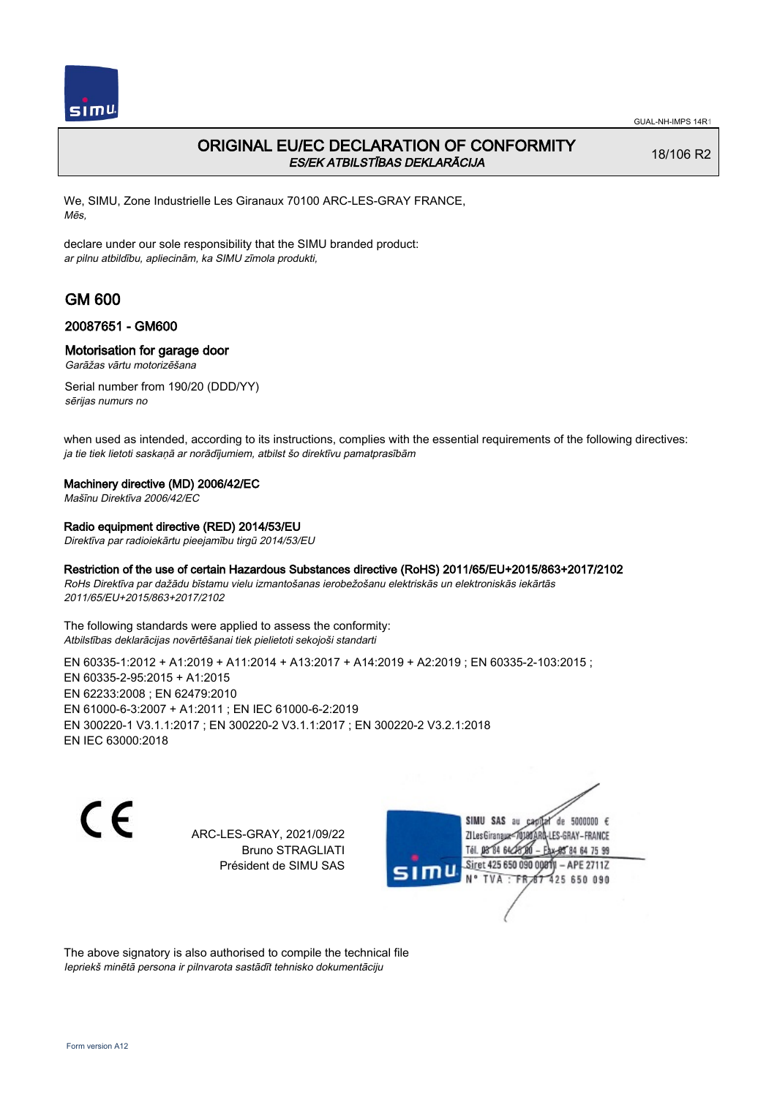

## ORIGINAL EU/EC DECLARATION OF CONFORMITY ES/EK ATBILSTĪBAS DEKLARĀCIJA

18/106 R2

We, SIMU, Zone Industrielle Les Giranaux 70100 ARC-LES-GRAY FRANCE, Mēs,

declare under our sole responsibility that the SIMU branded product: ar pilnu atbildību, apliecinām, ka SIMU zīmola produkti,

# GM 600

### 20087651 - GM600

### Motorisation for garage door

Garāžas vārtu motorizēšana

Serial number from 190/20 (DDD/YY) sērijas numurs no

when used as intended, according to its instructions, complies with the essential requirements of the following directives: ja tie tiek lietoti saskaņā ar norādījumiem, atbilst šo direktīvu pamatprasībām

#### Machinery directive (MD) 2006/42/EC

Mašīnu Direktīva 2006/42/EC

#### Radio equipment directive (RED) 2014/53/EU

Direktīva par radioiekārtu pieejamību tirgū 2014/53/EU

### Restriction of the use of certain Hazardous Substances directive (RoHS) 2011/65/EU+2015/863+2017/2102

RoHs Direktīva par dažādu bīstamu vielu izmantošanas ierobežošanu elektriskās un elektroniskās iekārtās 2011/65/EU+2015/863+2017/2102

The following standards were applied to assess the conformity: Atbilstības deklarācijas novērtēšanai tiek pielietoti sekojoši standarti

EN 60335-1:2012 + A1:2019 + A11:2014 + A13:2017 + A14:2019 + A2:2019 ; EN 60335-2-103:2015 ; EN 60335‑2‑95:2015 + A1:2015 EN 62233:2008 ; EN 62479:2010 EN 61000‑6‑3:2007 + A1:2011 ; EN IEC 61000‑6‑2:2019 EN 300220‑1 V3.1.1:2017 ; EN 300220‑2 V3.1.1:2017 ; EN 300220‑2 V3.2.1:2018 EN IEC 63000:2018

C E

ARC-LES-GRAY, 2021/09/22 Bruno STRAGLIATI Président de SIMU SAS

SIMU SAS au de 5000000  $\epsilon$ ZI Les Giranaux</r0180 LES-GRAY-FRANCE Tél. 08 84 64 24 64 75 99 Siret 425 650 090 008TV - APE 2711Z TVA : FRAT 425 650 090

The above signatory is also authorised to compile the technical file Iepriekš minētā persona ir pilnvarota sastādīt tehnisko dokumentāciju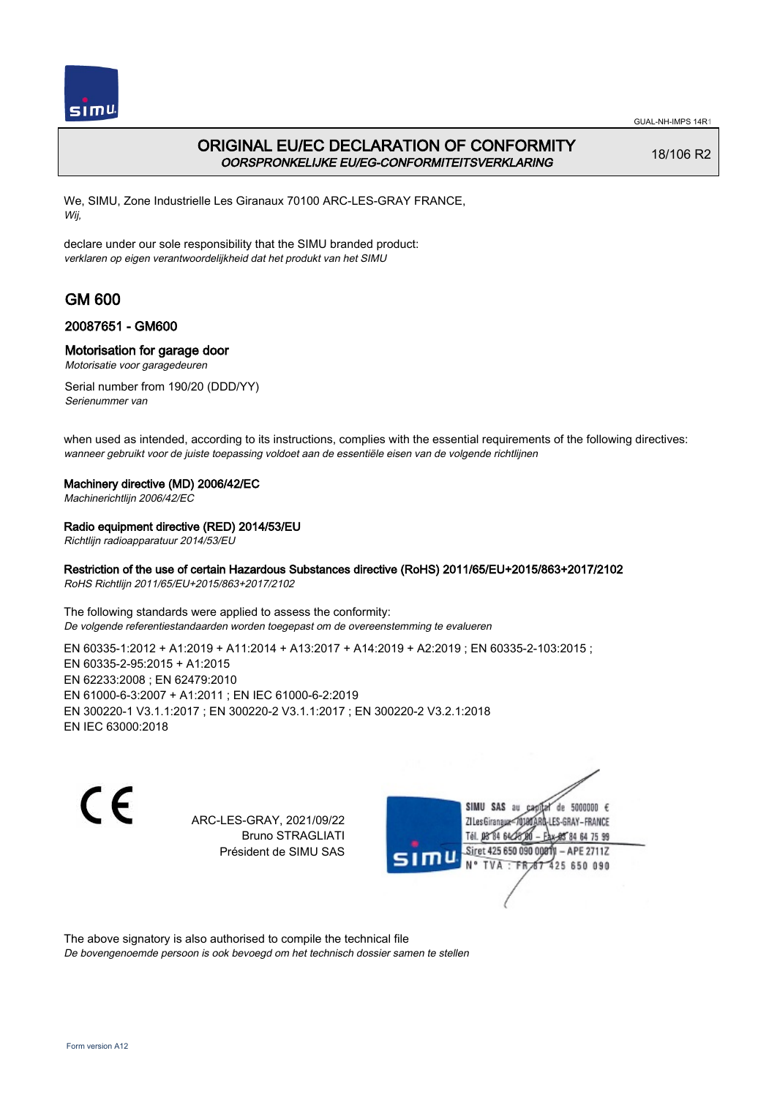

## ORIGINAL EU/EC DECLARATION OF CONFORMITY OORSPRONKELIJKE EU/EG-CONFORMITEITSVERKLARING

18/106 R2

We, SIMU, Zone Industrielle Les Giranaux 70100 ARC-LES-GRAY FRANCE, Wij,

declare under our sole responsibility that the SIMU branded product: verklaren op eigen verantwoordelijkheid dat het produkt van het SIMU

# GM 600

### 20087651 - GM600

### Motorisation for garage door

Motorisatie voor garagedeuren

Serial number from 190/20 (DDD/YY) Serienummer van

when used as intended, according to its instructions, complies with the essential requirements of the following directives: wanneer gebruikt voor de juiste toepassing voldoet aan de essentiële eisen van de volgende richtlijnen

### Machinery directive (MD) 2006/42/EC

Machinerichtlijn 2006/42/EC

### Radio equipment directive (RED) 2014/53/EU

Richtlijn radioapparatuur 2014/53/EU

### Restriction of the use of certain Hazardous Substances directive (RoHS) 2011/65/EU+2015/863+2017/2102

RoHS Richtlijn 2011/65/EU+2015/863+2017/2102

The following standards were applied to assess the conformity: De volgende referentiestandaarden worden toegepast om de overeenstemming te evalueren

EN 60335‑1:2012 + A1:2019 + A11:2014 + A13:2017 + A14:2019 + A2:2019 ; EN 60335‑2‑103:2015 ; EN 60335‑2‑95:2015 + A1:2015 EN 62233:2008 ; EN 62479:2010 EN 61000‑6‑3:2007 + A1:2011 ; EN IEC 61000‑6‑2:2019 EN 300220‑1 V3.1.1:2017 ; EN 300220‑2 V3.1.1:2017 ; EN 300220‑2 V3.2.1:2018 EN IEC 63000:2018

 $\epsilon$ 

ARC-LES-GRAY, 2021/09/22 Bruno STRAGLIATI Président de SIMU SAS



The above signatory is also authorised to compile the technical file

De bovengenoemde persoon is ook bevoegd om het technisch dossier samen te stellen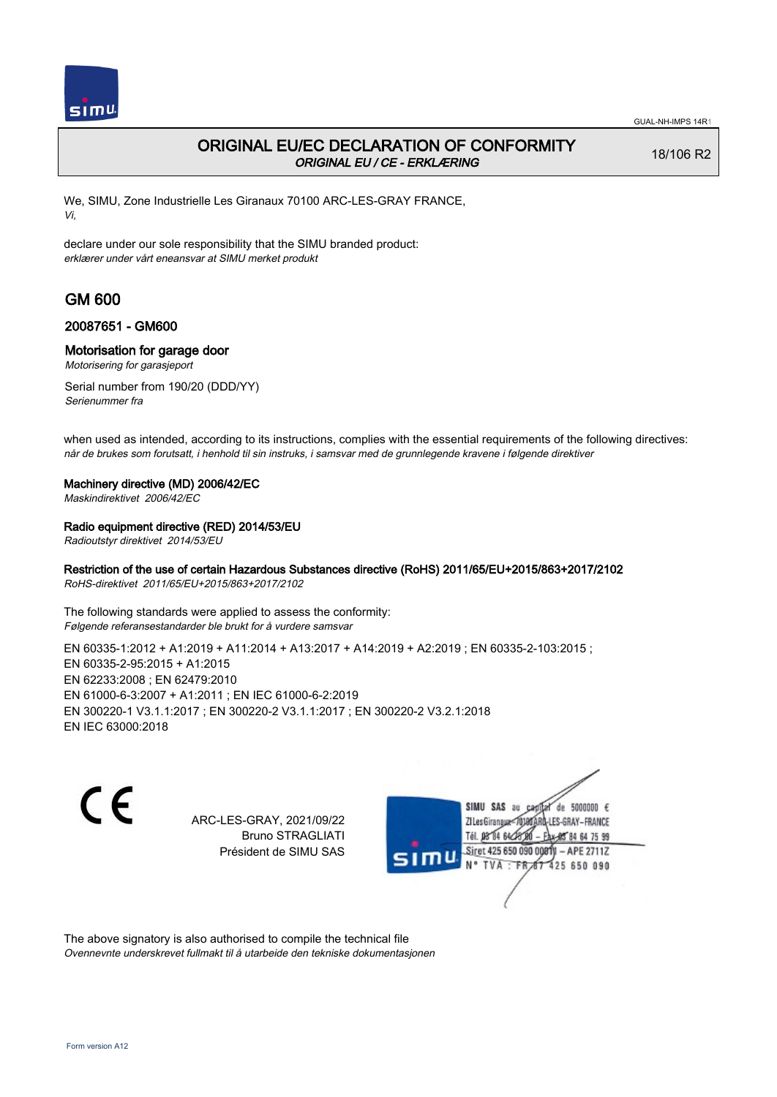

## ORIGINAL EU/EC DECLARATION OF CONFORMITY ORIGINAL EU / CE - ERKLÆRING

18/106 R2

We, SIMU, Zone Industrielle Les Giranaux 70100 ARC-LES-GRAY FRANCE, Vi,

declare under our sole responsibility that the SIMU branded product: erklærer under vårt eneansvar at SIMU merket produkt

# GM 600

### 20087651 - GM600

### Motorisation for garage door

Motorisering for garasjeport

Serial number from 190/20 (DDD/YY) Serienummer fra

when used as intended, according to its instructions, complies with the essential requirements of the following directives: når de brukes som forutsatt, i henhold til sin instruks, i samsvar med de grunnlegende kravene i følgende direktiver

### Machinery directive (MD) 2006/42/EC

Maskindirektivet 2006/42/EC

### Radio equipment directive (RED) 2014/53/EU

Radioutstyr direktivet 2014/53/EU

### Restriction of the use of certain Hazardous Substances directive (RoHS) 2011/65/EU+2015/863+2017/2102

RoHS-direktivet 2011/65/EU+2015/863+2017/2102

The following standards were applied to assess the conformity: Følgende referansestandarder ble brukt for å vurdere samsvar

EN 60335-1:2012 + A1:2019 + A11:2014 + A13:2017 + A14:2019 + A2:2019 ; EN 60335-2-103:2015 ; EN 60335‑2‑95:2015 + A1:2015 EN 62233:2008 ; EN 62479:2010 EN 61000‑6‑3:2007 + A1:2011 ; EN IEC 61000‑6‑2:2019 EN 300220‑1 V3.1.1:2017 ; EN 300220‑2 V3.1.1:2017 ; EN 300220‑2 V3.2.1:2018 EN IEC 63000:2018

 $\epsilon$ 

ARC-LES-GRAY, 2021/09/22 Bruno STRAGLIATI Président de SIMU SAS



The above signatory is also authorised to compile the technical file Ovennevnte underskrevet fullmakt til å utarbeide den tekniske dokumentasjonen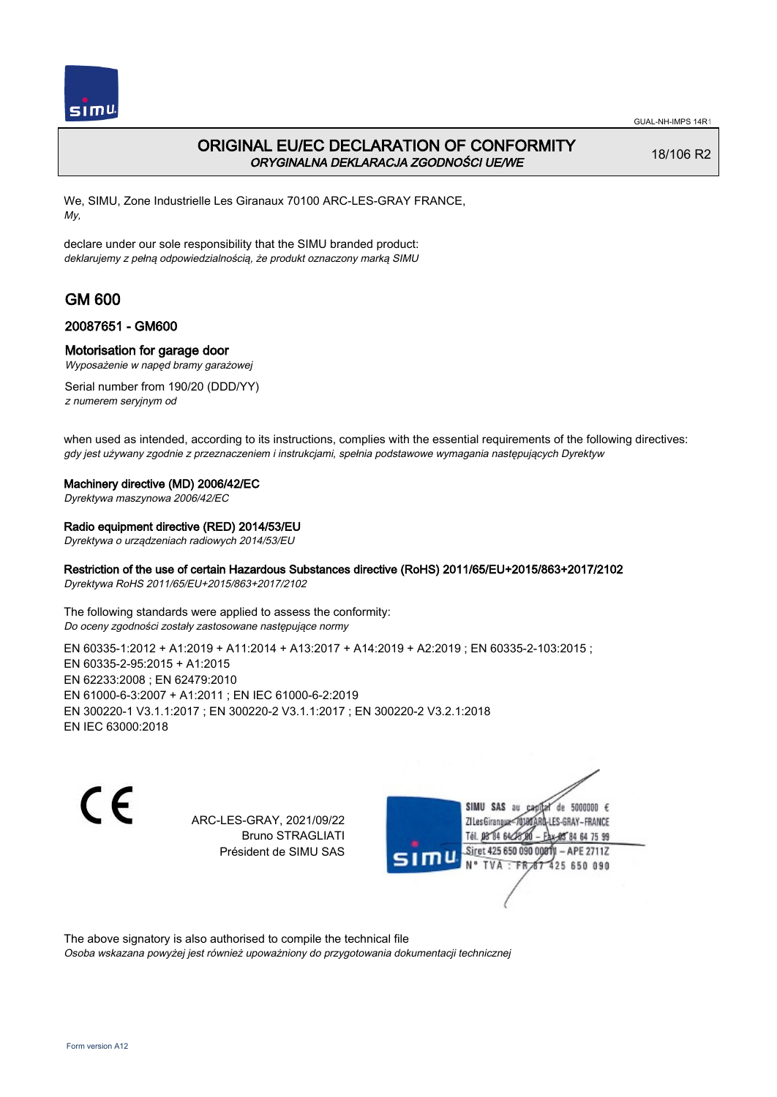

## ORIGINAL EU/EC DECLARATION OF CONFORMITY ORYGINALNA DEKLARACJA ZGODNOŚCI UE/WE

18/106 R2

We, SIMU, Zone Industrielle Les Giranaux 70100 ARC-LES-GRAY FRANCE, My,

declare under our sole responsibility that the SIMU branded product: deklarujemy z pełną odpowiedzialnością, że produkt oznaczony marką SIMU

# GM 600

### 20087651 - GM600

### Motorisation for garage door

Wyposażenie w napęd bramy garażowej

Serial number from 190/20 (DDD/YY) z numerem seryjnym od

when used as intended, according to its instructions, complies with the essential requirements of the following directives: gdy jest używany zgodnie z przeznaczeniem i instrukcjami, spełnia podstawowe wymagania następujących Dyrektyw

#### Machinery directive (MD) 2006/42/EC

Dyrektywa maszynowa 2006/42/EC

#### Radio equipment directive (RED) 2014/53/EU

Dyrektywa o urządzeniach radiowych 2014/53/EU

### Restriction of the use of certain Hazardous Substances directive (RoHS) 2011/65/EU+2015/863+2017/2102

Dyrektywa RoHS 2011/65/EU+2015/863+2017/2102

The following standards were applied to assess the conformity: Do oceny zgodności zostały zastosowane następujące normy

EN 60335-1:2012 + A1:2019 + A11:2014 + A13:2017 + A14:2019 + A2:2019 ; EN 60335-2-103:2015 ; EN 60335‑2‑95:2015 + A1:2015 EN 62233:2008 ; EN 62479:2010 EN 61000‑6‑3:2007 + A1:2011 ; EN IEC 61000‑6‑2:2019 EN 300220‑1 V3.1.1:2017 ; EN 300220‑2 V3.1.1:2017 ; EN 300220‑2 V3.2.1:2018 EN IEC 63000:2018

C E

ARC-LES-GRAY, 2021/09/22 Bruno STRAGLIATI Président de SIMU SAS



The above signatory is also authorised to compile the technical file

Osoba wskazana powyżej jest również upoważniony do przygotowania dokumentacji technicznej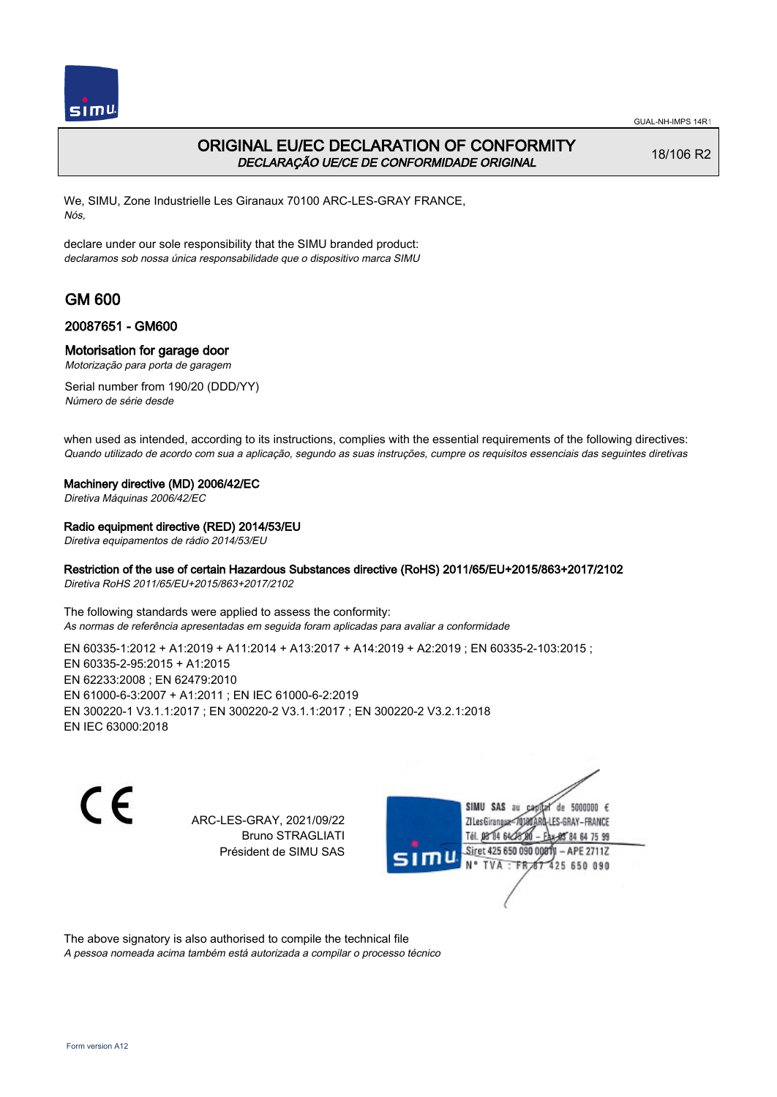

## ORIGINAL EU/EC DECLARATION OF CONFORMITY DECLARAÇÃO UE/CE DE CONFORMIDADE ORIGINAL

18/106 R2

We, SIMU, Zone Industrielle Les Giranaux 70100 ARC-LES-GRAY FRANCE, Nós,

declare under our sole responsibility that the SIMU branded product: declaramos sob nossa única responsabilidade que o dispositivo marca SIMU

# GM 600

### 20087651 - GM600

### Motorisation for garage door

Motorização para porta de garagem

Serial number from 190/20 (DDD/YY) Número de série desde

when used as intended, according to its instructions, complies with the essential requirements of the following directives: Quando utilizado de acordo com sua a aplicação, segundo as suas instruções, cumpre os requisitos essenciais das seguintes diretivas

#### Machinery directive (MD) 2006/42/EC

Diretiva Máquinas 2006/42/EC

### Radio equipment directive (RED) 2014/53/EU

Diretiva equipamentos de rádio 2014/53/EU

### Restriction of the use of certain Hazardous Substances directive (RoHS) 2011/65/EU+2015/863+2017/2102

Diretiva RoHS 2011/65/EU+2015/863+2017/2102

The following standards were applied to assess the conformity: As normas de referência apresentadas em seguida foram aplicadas para avaliar a conformidade

EN 60335‑1:2012 + A1:2019 + A11:2014 + A13:2017 + A14:2019 + A2:2019 ; EN 60335‑2‑103:2015 ; EN 60335‑2‑95:2015 + A1:2015 EN 62233:2008 ; EN 62479:2010 EN 61000‑6‑3:2007 + A1:2011 ; EN IEC 61000‑6‑2:2019 EN 300220‑1 V3.1.1:2017 ; EN 300220‑2 V3.1.1:2017 ; EN 300220‑2 V3.2.1:2018 EN IEC 63000:2018

 $\epsilon$ 

ARC-LES-GRAY, 2021/09/22 Bruno STRAGLIATI Président de SIMU SAS



The above signatory is also authorised to compile the technical file

A pessoa nomeada acima também está autorizada a compilar o processo técnico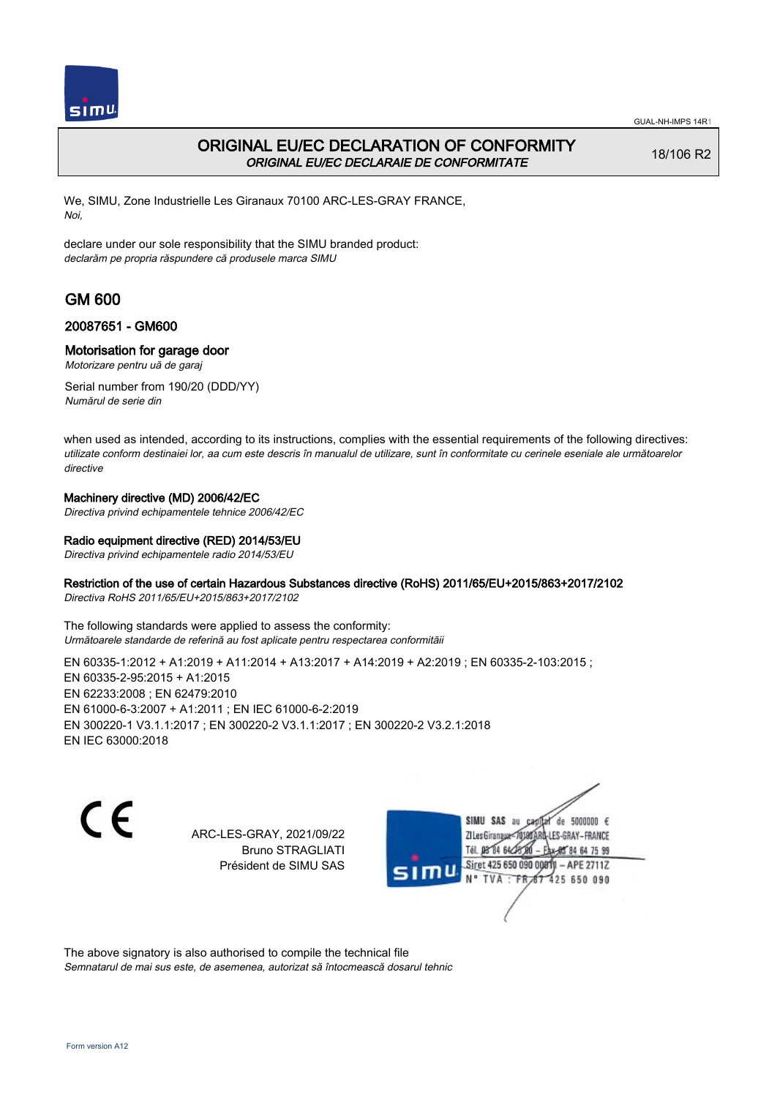

## ORIGINAL EU/EC DECLARATION OF CONFORMITY ORIGINAL EU/EC DECLARAIE DE CONFORMITATE

18/106 R2

We, SIMU, Zone Industrielle Les Giranaux 70100 ARC-LES-GRAY FRANCE, Noi,

declare under our sole responsibility that the SIMU branded product: declarăm pe propria răspundere că produsele marca SIMU

# GM 600

### 20087651 - GM600

### Motorisation for garage door

Motorizare pentru uă de garaj

Serial number from 190/20 (DDD/YY) Numărul de serie din

when used as intended, according to its instructions, complies with the essential requirements of the following directives: utilizate conform destinaiei lor, aa cum este descris în manualul de utilizare, sunt în conformitate cu cerinele eseniale ale următoarelor directive

### Machinery directive (MD) 2006/42/EC

Directiva privind echipamentele tehnice 2006/42/EC

### Radio equipment directive (RED) 2014/53/EU

Directiva privind echipamentele radio 2014/53/EU

### Restriction of the use of certain Hazardous Substances directive (RoHS) 2011/65/EU+2015/863+2017/2102

Directiva RoHS 2011/65/EU+2015/863+2017/2102

The following standards were applied to assess the conformity: Următoarele standarde de referină au fost aplicate pentru respectarea conformităii

EN 60335-1:2012 + A1:2019 + A11:2014 + A13:2017 + A14:2019 + A2:2019 ; EN 60335-2-103:2015 ; EN 60335‑2‑95:2015 + A1:2015 EN 62233:2008 ; EN 62479:2010 EN 61000‑6‑3:2007 + A1:2011 ; EN IEC 61000‑6‑2:2019 EN 300220‑1 V3.1.1:2017 ; EN 300220‑2 V3.1.1:2017 ; EN 300220‑2 V3.2.1:2018 EN IEC 63000:2018

C E

ARC-LES-GRAY, 2021/09/22 Bruno STRAGLIATI Président de SIMU SAS

SIMU SAS au de 5000000  $\epsilon$ ZI Les Giranaux-7018 LES-GRAY-FRANCE Tél. 08 84 64 24 64 75 99 Siret 425 650 090 0001 - APE 2711Z 425 650 090 TVA: FR

The above signatory is also authorised to compile the technical file Semnatarul de mai sus este, de asemenea, autorizat să întocmească dosarul tehnic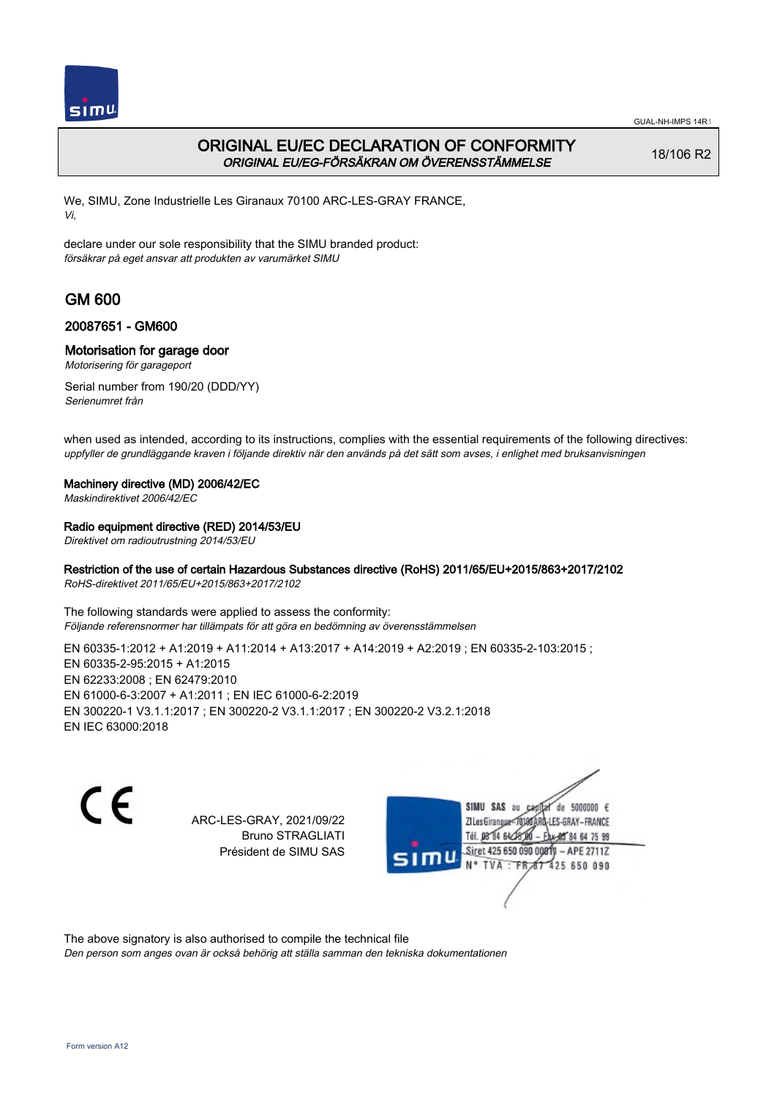

## ORIGINAL EU/EC DECLARATION OF CONFORMITY ORIGINAL EU/EG-FÖRSÄKRAN OM ÖVERENSSTÄMMELSE

18/106 R2

We, SIMU, Zone Industrielle Les Giranaux 70100 ARC-LES-GRAY FRANCE, Vi,

declare under our sole responsibility that the SIMU branded product: försäkrar på eget ansvar att produkten av varumärket SIMU

# GM 600

### 20087651 - GM600

### Motorisation for garage door

Motorisering för garageport

Serial number from 190/20 (DDD/YY) Serienumret från

when used as intended, according to its instructions, complies with the essential requirements of the following directives: uppfyller de grundläggande kraven i följande direktiv när den används på det sätt som avses, i enlighet med bruksanvisningen

### Machinery directive (MD) 2006/42/EC

Maskindirektivet 2006/42/EC

### Radio equipment directive (RED) 2014/53/EU

Direktivet om radioutrustning 2014/53/EU

### Restriction of the use of certain Hazardous Substances directive (RoHS) 2011/65/EU+2015/863+2017/2102

RoHS-direktivet 2011/65/EU+2015/863+2017/2102

The following standards were applied to assess the conformity: Följande referensnormer har tillämpats för att göra en bedömning av överensstämmelsen

EN 60335-1:2012 + A1:2019 + A11:2014 + A13:2017 + A14:2019 + A2:2019 ; EN 60335-2-103:2015 ; EN 60335‑2‑95:2015 + A1:2015 EN 62233:2008 ; EN 62479:2010 EN 61000‑6‑3:2007 + A1:2011 ; EN IEC 61000‑6‑2:2019 EN 300220‑1 V3.1.1:2017 ; EN 300220‑2 V3.1.1:2017 ; EN 300220‑2 V3.2.1:2018 EN IEC 63000:2018

 $\epsilon$ 

ARC-LES-GRAY, 2021/09/22 Bruno STRAGLIATI Président de SIMU SAS



The above signatory is also authorised to compile the technical file

Den person som anges ovan är också behörig att ställa samman den tekniska dokumentationen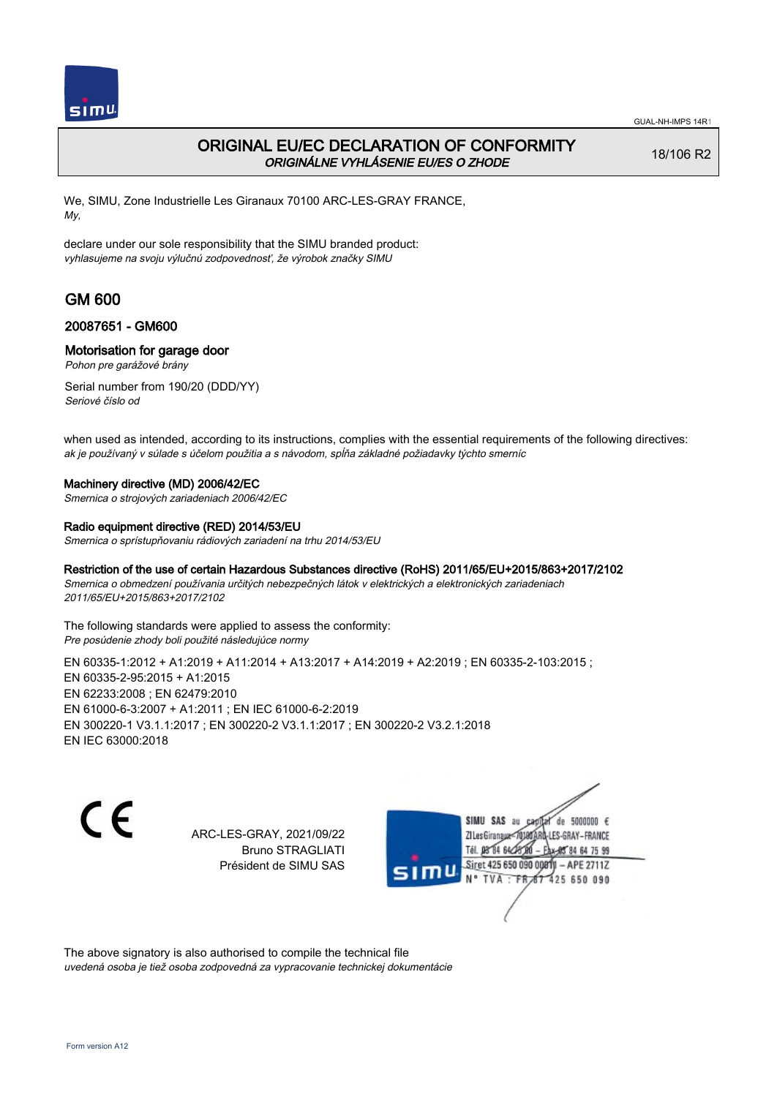

## ORIGINAL EU/EC DECLARATION OF CONFORMITY ORIGINÁLNE VYHLÁSENIE EU/ES O ZHODE

18/106 R2

We, SIMU, Zone Industrielle Les Giranaux 70100 ARC-LES-GRAY FRANCE, My,

declare under our sole responsibility that the SIMU branded product: vyhlasujeme na svoju výlučnú zodpovednosť, že výrobok značky SIMU

# GM 600

### 20087651 - GM600

### Motorisation for garage door

Pohon pre garážové brány

Serial number from 190/20 (DDD/YY) Seriové číslo od

when used as intended, according to its instructions, complies with the essential requirements of the following directives: ak je používaný v súlade s účelom použitia a s návodom, spĺňa základné požiadavky týchto smerníc

#### Machinery directive (MD) 2006/42/EC

Smernica o strojových zariadeniach 2006/42/EC

#### Radio equipment directive (RED) 2014/53/EU

Smernica o sprístupňovaniu rádiových zariadení na trhu 2014/53/EU

### Restriction of the use of certain Hazardous Substances directive (RoHS) 2011/65/EU+2015/863+2017/2102

Smernica o obmedzení používania určitých nebezpečných látok v elektrických a elektronických zariadeniach 2011/65/EU+2015/863+2017/2102

The following standards were applied to assess the conformity: Pre posúdenie zhody boli použité následujúce normy

EN 60335-1:2012 + A1:2019 + A11:2014 + A13:2017 + A14:2019 + A2:2019 ; EN 60335-2-103:2015 ; EN 60335‑2‑95:2015 + A1:2015 EN 62233:2008 ; EN 62479:2010 EN 61000‑6‑3:2007 + A1:2011 ; EN IEC 61000‑6‑2:2019 EN 300220‑1 V3.1.1:2017 ; EN 300220‑2 V3.1.1:2017 ; EN 300220‑2 V3.2.1:2018 EN IEC 63000:2018

C E

ARC-LES-GRAY, 2021/09/22 Bruno STRAGLIATI Président de SIMU SAS

SIMU SAS au de 5000000  $\epsilon$ ZI Les Giranaux-70180 LES-GRAY-FRANCE Tél. 08 84 64 24 64 75 99 Siret 425 650 090 0081) - APE 2711Z 425 650 090 TVA: FR

The above signatory is also authorised to compile the technical file uvedená osoba je tiež osoba zodpovedná za vypracovanie technickej dokumentácie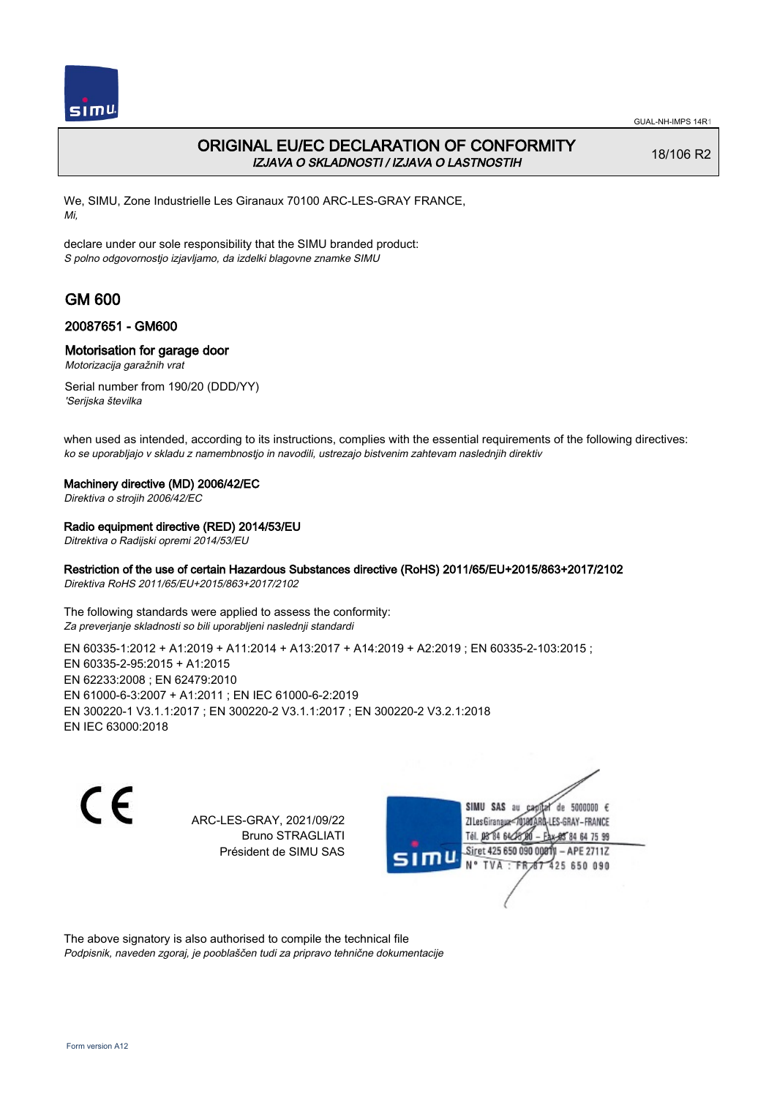

## ORIGINAL EU/EC DECLARATION OF CONFORMITY IZJAVA O SKLADNOSTI / IZJAVA O LASTNOSTIH

18/106 R2

We, SIMU, Zone Industrielle Les Giranaux 70100 ARC-LES-GRAY FRANCE, Mi,

declare under our sole responsibility that the SIMU branded product: S polno odgovornostjo izjavljamo, da izdelki blagovne znamke SIMU

# GM 600

### 20087651 - GM600

### Motorisation for garage door

Motorizacija garažnih vrat

Serial number from 190/20 (DDD/YY) 'Serijska številka

when used as intended, according to its instructions, complies with the essential requirements of the following directives: ko se uporabljajo v skladu z namembnostjo in navodili, ustrezajo bistvenim zahtevam naslednjih direktiv

### Machinery directive (MD) 2006/42/EC

Direktiva o strojih 2006/42/EC

### Radio equipment directive (RED) 2014/53/EU

Ditrektiva o Radijski opremi 2014/53/EU

### Restriction of the use of certain Hazardous Substances directive (RoHS) 2011/65/EU+2015/863+2017/2102

Direktiva RoHS 2011/65/EU+2015/863+2017/2102

The following standards were applied to assess the conformity: Za preverjanje skladnosti so bili uporabljeni naslednji standardi

EN 60335-1:2012 + A1:2019 + A11:2014 + A13:2017 + A14:2019 + A2:2019 ; EN 60335-2-103:2015 ; EN 60335‑2‑95:2015 + A1:2015 EN 62233:2008 ; EN 62479:2010 EN 61000‑6‑3:2007 + A1:2011 ; EN IEC 61000‑6‑2:2019 EN 300220‑1 V3.1.1:2017 ; EN 300220‑2 V3.1.1:2017 ; EN 300220‑2 V3.2.1:2018 EN IEC 63000:2018

 $\epsilon$ 

ARC-LES-GRAY, 2021/09/22 Bruno STRAGLIATI Président de SIMU SAS



The above signatory is also authorised to compile the technical file Podpisnik, naveden zgoraj, je pooblaščen tudi za pripravo tehnične dokumentacije